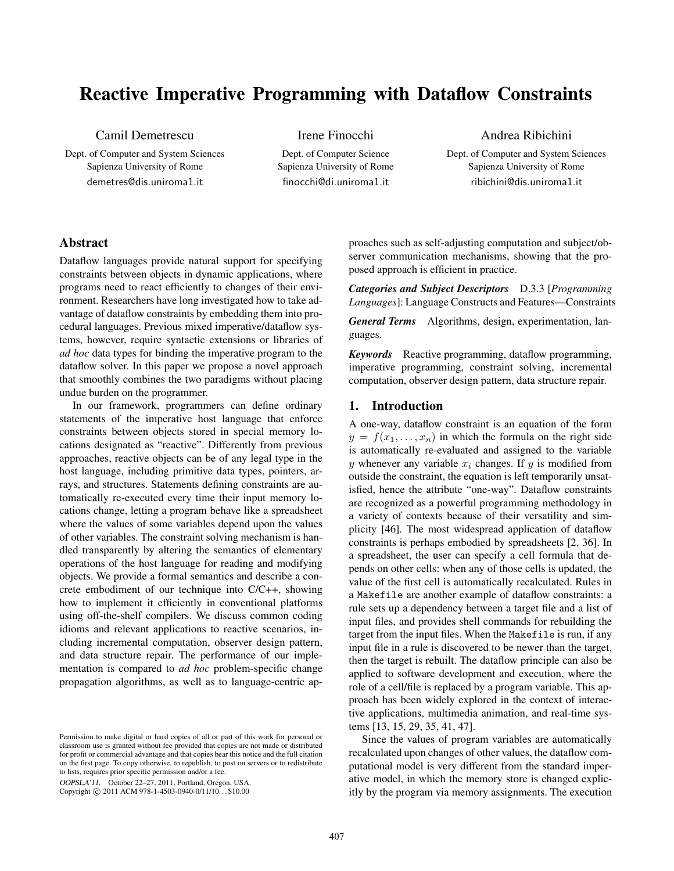# Reactive Imperative Programming with Dataflow Constraints

Camil Demetrescu

Dept. of Computer and System Sciences Sapienza University of Rome demetres@dis.uniroma1.it

Irene Finocchi

Dept. of Computer Science Sapienza University of Rome finocchi@di.uniroma1.it

# Andrea Ribichini

Dept. of Computer and System Sciences Sapienza University of Rome ribichini@dis.uniroma1.it

# Abstract

Dataflow languages provide natural support for specifying constraints between objects in dynamic applications, where programs need to react efficiently to changes of their environment. Researchers have long investigated how to take advantage of dataflow constraints by embedding them into procedural languages. Previous mixed imperative/dataflow systems, however, require syntactic extensions or libraries of *ad hoc* data types for binding the imperative program to the dataflow solver. In this paper we propose a novel approach that smoothly combines the two paradigms without placing undue burden on the programmer.

In our framework, programmers can define ordinary statements of the imperative host language that enforce constraints between objects stored in special memory locations designated as "reactive". Differently from previous approaches, reactive objects can be of any legal type in the host language, including primitive data types, pointers, arrays, and structures. Statements defining constraints are automatically re-executed every time their input memory locations change, letting a program behave like a spreadsheet where the values of some variables depend upon the values of other variables. The constraint solving mechanism is handled transparently by altering the semantics of elementary operations of the host language for reading and modifying objects. We provide a formal semantics and describe a concrete embodiment of our technique into C/C++, showing how to implement it efficiently in conventional platforms using off-the-shelf compilers. We discuss common coding idioms and relevant applications to reactive scenarios, including incremental computation, observer design pattern, and data structure repair. The performance of our implementation is compared to *ad hoc* problem-specific change propagation algorithms, as well as to language-centric ap-

OOPSLA'11, October 22–27, 2011, Portland, Oregon, USA.

Copyright © 2011 ACM 978-1-4503-0940-0/11/10... \$10.00

proaches such as self-adjusting computation and subject/observer communication mechanisms, showing that the proposed approach is efficient in practice.

*Categories and Subject Descriptors* D.3.3 [*Programming Languages*]: Language Constructs and Features—Constraints

*General Terms* Algorithms, design, experimentation, languages.

*Keywords* Reactive programming, dataflow programming, imperative programming, constraint solving, incremental computation, observer design pattern, data structure repair.

# 1. Introduction

A one-way, dataflow constraint is an equation of the form  $y = f(x_1, \ldots, x_n)$  in which the formula on the right side is automatically re-evaluated and assigned to the variable y whenever any variable  $x_i$  changes. If y is modified from outside the constraint, the equation is left temporarily unsatisfied, hence the attribute "one-way". Dataflow constraints are recognized as a powerful programming methodology in a variety of contexts because of their versatility and simplicity [46]. The most widespread application of dataflow constraints is perhaps embodied by spreadsheets [2, 36]. In a spreadsheet, the user can specify a cell formula that depends on other cells: when any of those cells is updated, the value of the first cell is automatically recalculated. Rules in a Makefile are another example of dataflow constraints: a rule sets up a dependency between a target file and a list of input files, and provides shell commands for rebuilding the target from the input files. When the Makefile is run, if any input file in a rule is discovered to be newer than the target, then the target is rebuilt. The dataflow principle can also be applied to software development and execution, where the role of a cell/file is replaced by a program variable. This approach has been widely explored in the context of interactive applications, multimedia animation, and real-time systems [13, 15, 29, 35, 41, 47].

Since the values of program variables are automatically recalculated upon changes of other values, the dataflow computational model is very different from the standard imperative model, in which the memory store is changed explicitly by the program via memory assignments. The execution

Permission to make digital or hard copies of all or part of this work for personal or classroom use is granted without fee provided that copies are not made or distributed for profit or commercial advantage and that copies bear this notice and the full citation on the first page. To copy otherwise, to republish, to post on servers or to redistribute to lists, requires prior specific permission and/or a fee.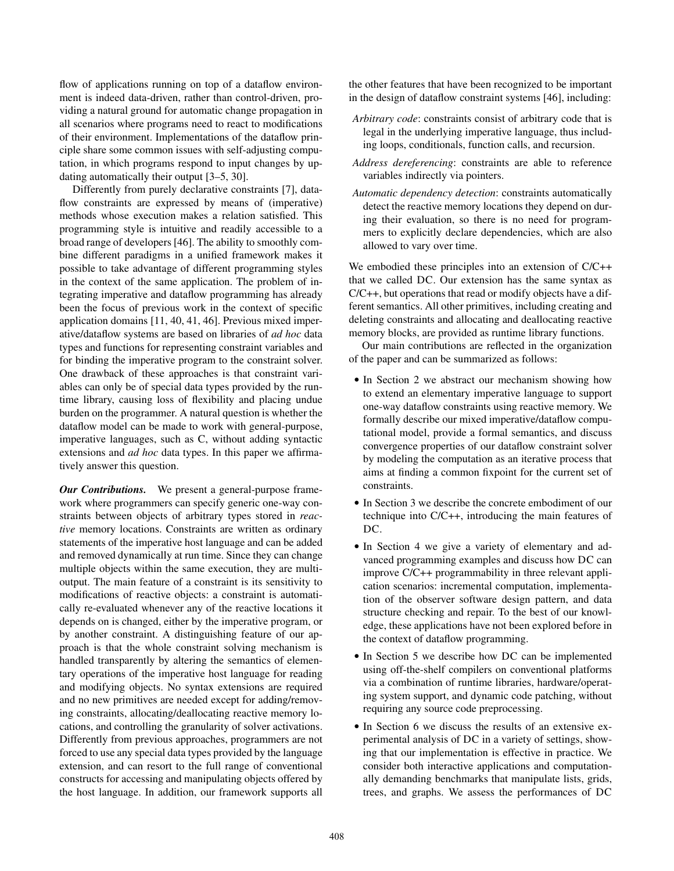flow of applications running on top of a dataflow environment is indeed data-driven, rather than control-driven, providing a natural ground for automatic change propagation in all scenarios where programs need to react to modifications of their environment. Implementations of the dataflow principle share some common issues with self-adjusting computation, in which programs respond to input changes by updating automatically their output [3–5, 30].

Differently from purely declarative constraints [7], dataflow constraints are expressed by means of (imperative) methods whose execution makes a relation satisfied. This programming style is intuitive and readily accessible to a broad range of developers [46]. The ability to smoothly combine different paradigms in a unified framework makes it possible to take advantage of different programming styles in the context of the same application. The problem of integrating imperative and dataflow programming has already been the focus of previous work in the context of specific application domains [11, 40, 41, 46]. Previous mixed imperative/dataflow systems are based on libraries of *ad hoc* data types and functions for representing constraint variables and for binding the imperative program to the constraint solver. One drawback of these approaches is that constraint variables can only be of special data types provided by the runtime library, causing loss of flexibility and placing undue burden on the programmer. A natural question is whether the dataflow model can be made to work with general-purpose, imperative languages, such as C, without adding syntactic extensions and *ad hoc* data types. In this paper we affirmatively answer this question.

*Our Contributions.* We present a general-purpose framework where programmers can specify generic one-way constraints between objects of arbitrary types stored in *reactive* memory locations. Constraints are written as ordinary statements of the imperative host language and can be added and removed dynamically at run time. Since they can change multiple objects within the same execution, they are multioutput. The main feature of a constraint is its sensitivity to modifications of reactive objects: a constraint is automatically re-evaluated whenever any of the reactive locations it depends on is changed, either by the imperative program, or by another constraint. A distinguishing feature of our approach is that the whole constraint solving mechanism is handled transparently by altering the semantics of elementary operations of the imperative host language for reading and modifying objects. No syntax extensions are required and no new primitives are needed except for adding/removing constraints, allocating/deallocating reactive memory locations, and controlling the granularity of solver activations. Differently from previous approaches, programmers are not forced to use any special data types provided by the language extension, and can resort to the full range of conventional constructs for accessing and manipulating objects offered by the host language. In addition, our framework supports all the other features that have been recognized to be important in the design of dataflow constraint systems [46], including:

- *Arbitrary code*: constraints consist of arbitrary code that is legal in the underlying imperative language, thus including loops, conditionals, function calls, and recursion.
- *Address dereferencing*: constraints are able to reference variables indirectly via pointers.
- *Automatic dependency detection*: constraints automatically detect the reactive memory locations they depend on during their evaluation, so there is no need for programmers to explicitly declare dependencies, which are also allowed to vary over time.

We embodied these principles into an extension of C/C++ that we called DC. Our extension has the same syntax as C/C++, but operations that read or modify objects have a different semantics. All other primitives, including creating and deleting constraints and allocating and deallocating reactive memory blocks, are provided as runtime library functions.

Our main contributions are reflected in the organization of the paper and can be summarized as follows:

- In Section 2 we abstract our mechanism showing how to extend an elementary imperative language to support one-way dataflow constraints using reactive memory. We formally describe our mixed imperative/dataflow computational model, provide a formal semantics, and discuss convergence properties of our dataflow constraint solver by modeling the computation as an iterative process that aims at finding a common fixpoint for the current set of constraints.
- In Section 3 we describe the concrete embodiment of our technique into C/C++, introducing the main features of DC.
- In Section 4 we give a variety of elementary and advanced programming examples and discuss how DC can improve C/C++ programmability in three relevant application scenarios: incremental computation, implementation of the observer software design pattern, and data structure checking and repair. To the best of our knowledge, these applications have not been explored before in the context of dataflow programming.
- In Section 5 we describe how DC can be implemented using off-the-shelf compilers on conventional platforms via a combination of runtime libraries, hardware/operating system support, and dynamic code patching, without requiring any source code preprocessing.
- In Section 6 we discuss the results of an extensive experimental analysis of DC in a variety of settings, showing that our implementation is effective in practice. We consider both interactive applications and computationally demanding benchmarks that manipulate lists, grids, trees, and graphs. We assess the performances of DC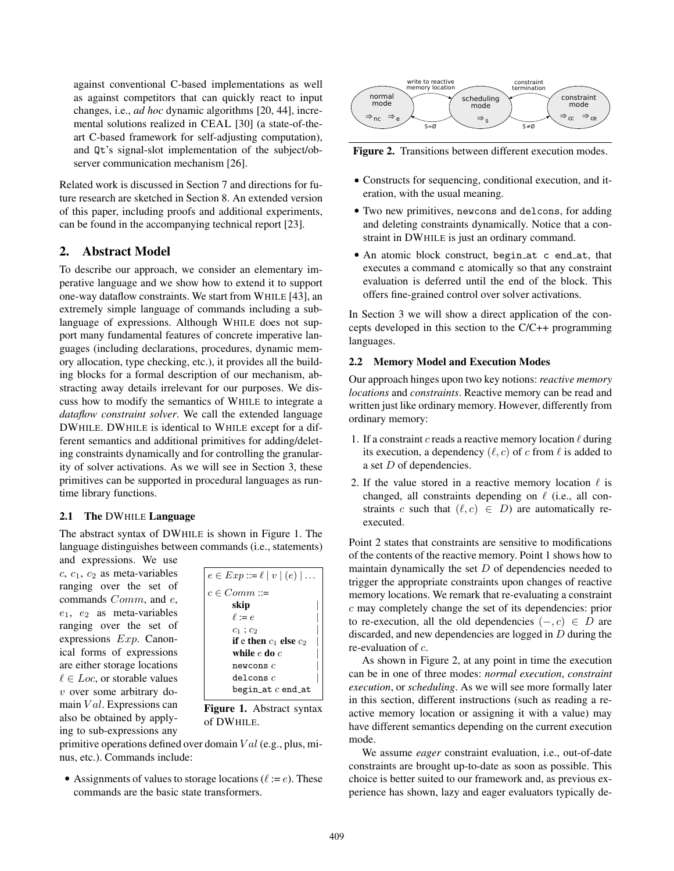against conventional C-based implementations as well as against competitors that can quickly react to input changes, i.e., *ad hoc* dynamic algorithms [20, 44], incremental solutions realized in CEAL [30] (a state-of-theart C-based framework for self-adjusting computation), and Qt's signal-slot implementation of the subject/observer communication mechanism [26].

Related work is discussed in Section 7 and directions for future research are sketched in Section 8. An extended version of this paper, including proofs and additional experiments, can be found in the accompanying technical report [23].

# 2. Abstract Model

To describe our approach, we consider an elementary imperative language and we show how to extend it to support one-way dataflow constraints. We start from WHILE [43], an extremely simple language of commands including a sublanguage of expressions. Although WHILE does not support many fundamental features of concrete imperative languages (including declarations, procedures, dynamic memory allocation, type checking, etc.), it provides all the building blocks for a formal description of our mechanism, abstracting away details irrelevant for our purposes. We discuss how to modify the semantics of WHILE to integrate a *dataflow constraint solver*. We call the extended language DWHILE. DWHILE is identical to WHILE except for a different semantics and additional primitives for adding/deleting constraints dynamically and for controlling the granularity of solver activations. As we will see in Section 3, these primitives can be supported in procedural languages as runtime library functions.

## 2.1 The DWHILE Language

The abstract syntax of DWHILE is shown in Figure 1. The language distinguishes between commands (i.e., statements)

and expressions. We use  $c, c_1, c_2$  as meta-variables ranging over the set of commands Comm, and e,  $e_1$ ,  $e_2$  as meta-variables ranging over the set of expressions Exp. Canonical forms of expressions are either storage locations  $\ell \in Loc$ , or storable values v over some arbitrary domain  $Val$ . Expressions can also be obtained by applying to sub-expressions any

| $e \in Exp ::= \ell \mid v \mid (e) \mid \dots$ |
|-------------------------------------------------|
| $c \in Comm ::=$                                |
| skip                                            |
| $\ell := e$                                     |
| $c_1$ : $c_2$                                   |
| if e then $c_1$ else $c_2$                      |
| while $e$ do $c$                                |
| newcons $c$                                     |
| delcons $c$                                     |
| begin at $c$ end at                             |

Figure 1. Abstract syntax of DWHILE.

primitive operations defined over domain  $Val$  (e.g., plus, minus, etc.). Commands include:

• Assignments of values to storage locations ( $\ell := e$ ). These commands are the basic state transformers.



Figure 2. Transitions between different execution modes.

- Constructs for sequencing, conditional execution, and iteration, with the usual meaning.
- Two new primitives, newcons and delcons, for adding and deleting constraints dynamically. Notice that a constraint in DWHILE is just an ordinary command.
- An atomic block construct, begin at c end at, that executes a command c atomically so that any constraint evaluation is deferred until the end of the block. This offers fine-grained control over solver activations.

In Section 3 we will show a direct application of the concepts developed in this section to the C/C++ programming languages.

## 2.2 Memory Model and Execution Modes

Our approach hinges upon two key notions: *reactive memory locations* and *constraints*. Reactive memory can be read and written just like ordinary memory. However, differently from ordinary memory:

- 1. If a constraint c reads a reactive memory location  $\ell$  during its execution, a dependency  $(\ell, c)$  of c from  $\ell$  is added to a set D of dependencies.
- 2. If the value stored in a reactive memory location  $\ell$  is changed, all constraints depending on  $\ell$  (i.e., all constraints c such that  $(\ell, c) \in D$  are automatically reexecuted.

Point 2 states that constraints are sensitive to modifications of the contents of the reactive memory. Point 1 shows how to maintain dynamically the set  $D$  of dependencies needed to trigger the appropriate constraints upon changes of reactive memory locations. We remark that re-evaluating a constraint c may completely change the set of its dependencies: prior to re-execution, all the old dependencies  $(-, c) \in D$  are discarded, and new dependencies are logged in D during the re-evaluation of c.

As shown in Figure 2, at any point in time the execution can be in one of three modes: *normal execution*, *constraint execution*, or *scheduling*. As we will see more formally later in this section, different instructions (such as reading a reactive memory location or assigning it with a value) may have different semantics depending on the current execution mode.

We assume *eager* constraint evaluation, i.e., out-of-date constraints are brought up-to-date as soon as possible. This choice is better suited to our framework and, as previous experience has shown, lazy and eager evaluators typically de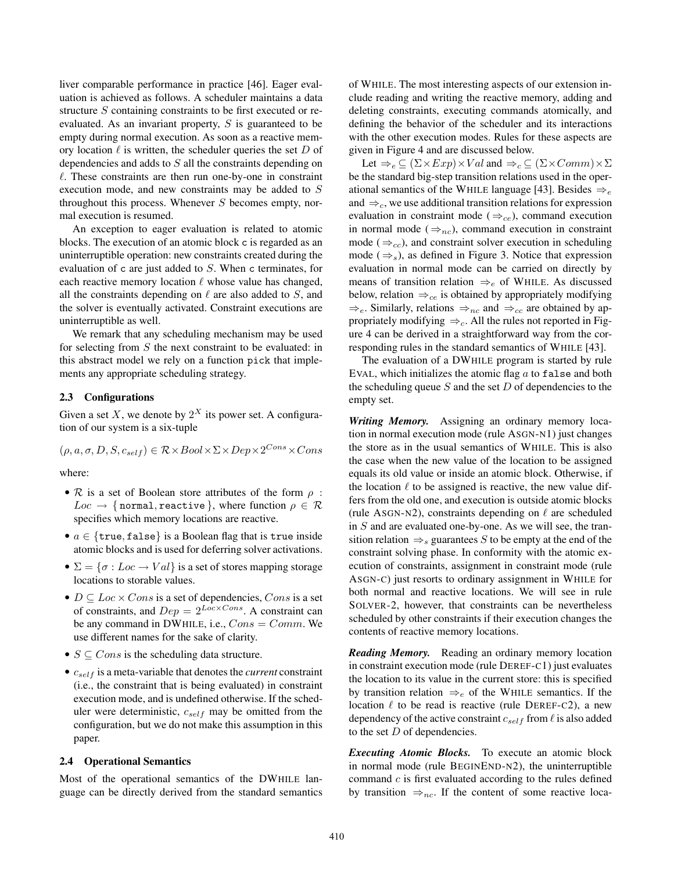liver comparable performance in practice [46]. Eager evaluation is achieved as follows. A scheduler maintains a data structure S containing constraints to be first executed or reevaluated. As an invariant property, S is guaranteed to be empty during normal execution. As soon as a reactive memory location  $\ell$  is written, the scheduler queries the set D of dependencies and adds to S all the constraints depending on  $\ell$ . These constraints are then run one-by-one in constraint execution mode, and new constraints may be added to S throughout this process. Whenever  $S$  becomes empty, normal execution is resumed.

An exception to eager evaluation is related to atomic blocks. The execution of an atomic block c is regarded as an uninterruptible operation: new constraints created during the evaluation of c are just added to S. When c terminates, for each reactive memory location  $\ell$  whose value has changed, all the constraints depending on  $\ell$  are also added to  $S$ , and the solver is eventually activated. Constraint executions are uninterruptible as well.

We remark that any scheduling mechanism may be used for selecting from  $S$  the next constraint to be evaluated: in this abstract model we rely on a function pick that implements any appropriate scheduling strategy.

#### 2.3 Configurations

Given a set X, we denote by  $2^X$  its power set. A configuration of our system is a six-tuple

 $(\rho, a, \sigma, D, S, c_{self}) \in \mathcal{R} \times \text{Bool} \times \Sigma \times \text{Dep} \times 2^{\text{Cons}} \times \text{Cons}$ 

where:

- R is a set of Boolean store attributes of the form  $\rho$ :  $Loc \rightarrow \{$  normal, reactive }, where function  $\rho \in \mathcal{R}$ specifies which memory locations are reactive.
- $a \in \{true, false\}$  is a Boolean flag that is true inside atomic blocks and is used for deferring solver activations.
- $\Sigma = {\sigma : Loc \rightarrow Val}$  is a set of stores mapping storage locations to storable values.
- $D \subseteq Loc \times Cons$  is a set of dependencies,  $Cons$  is a set of constraints, and  $Dep = 2^{Loc \times Cons}$ . A constraint can be any command in DWHILE, i.e.,  $Cons = Comm$ . We use different names for the sake of clarity.
- $S \subseteq Cons$  is the scheduling data structure.
- $\bullet$   $c_{self}$  is a meta-variable that denotes the *current* constraint (i.e., the constraint that is being evaluated) in constraint execution mode, and is undefined otherwise. If the scheduler were deterministic,  $c_{self}$  may be omitted from the configuration, but we do not make this assumption in this paper.

## 2.4 Operational Semantics

Most of the operational semantics of the DWHILE language can be directly derived from the standard semantics

of WHILE. The most interesting aspects of our extension include reading and writing the reactive memory, adding and deleting constraints, executing commands atomically, and defining the behavior of the scheduler and its interactions with the other execution modes. Rules for these aspects are given in Figure 4 and are discussed below.

Let  $\Rightarrow_e \subseteq (\Sigma \times Exp) \times Val$  and  $\Rightarrow_c \subseteq (\Sigma \times Comm) \times \Sigma$ be the standard big-step transition relations used in the operational semantics of the WHILE language [43]. Besides  $\Rightarrow_e$ and  $\Rightarrow_c$ , we use additional transition relations for expression evaluation in constraint mode ( $\Rightarrow_{ce}$ ), command execution in normal mode ( $\Rightarrow_{nc}$ ), command execution in constraint mode ( $\Rightarrow_{cc}$ ), and constraint solver execution in scheduling mode ( $\Rightarrow$ <sub>s</sub>), as defined in Figure 3. Notice that expression evaluation in normal mode can be carried on directly by means of transition relation  $\Rightarrow_e$  of WHILE. As discussed below, relation  $\Rightarrow_{ce}$  is obtained by appropriately modifying  $\Rightarrow$ <sub>e</sub>. Similarly, relations  $\Rightarrow$ <sub>nc</sub> and  $\Rightarrow$ <sub>cc</sub> are obtained by appropriately modifying  $\Rightarrow_c$ . All the rules not reported in Figure 4 can be derived in a straightforward way from the corresponding rules in the standard semantics of WHILE [43].

The evaluation of a DWHILE program is started by rule EVAL, which initializes the atomic flag  $a$  to false and both the scheduling queue  $S$  and the set  $D$  of dependencies to the empty set.

*Writing Memory.* Assigning an ordinary memory location in normal execution mode (rule ASGN-N1) just changes the store as in the usual semantics of WHILE. This is also the case when the new value of the location to be assigned equals its old value or inside an atomic block. Otherwise, if the location  $\ell$  to be assigned is reactive, the new value differs from the old one, and execution is outside atomic blocks (rule ASGN-N2), constraints depending on  $\ell$  are scheduled in  $S$  and are evaluated one-by-one. As we will see, the transition relation  $\Rightarrow_s$  guarantees S to be empty at the end of the constraint solving phase. In conformity with the atomic execution of constraints, assignment in constraint mode (rule ASGN-C) just resorts to ordinary assignment in WHILE for both normal and reactive locations. We will see in rule SOLVER-2, however, that constraints can be nevertheless scheduled by other constraints if their execution changes the contents of reactive memory locations.

*Reading Memory.* Reading an ordinary memory location in constraint execution mode (rule DEREF-C1) just evaluates the location to its value in the current store: this is specified by transition relation  $\Rightarrow_e$  of the WHILE semantics. If the location  $\ell$  to be read is reactive (rule DEREF-C2), a new dependency of the active constraint  $c_{self}$  from  $\ell$  is also added to the set  $D$  of dependencies.

*Executing Atomic Blocks.* To execute an atomic block in normal mode (rule BEGINEND-N2), the uninterruptible command  $c$  is first evaluated according to the rules defined by transition  $\Rightarrow_{nc}$ . If the content of some reactive loca-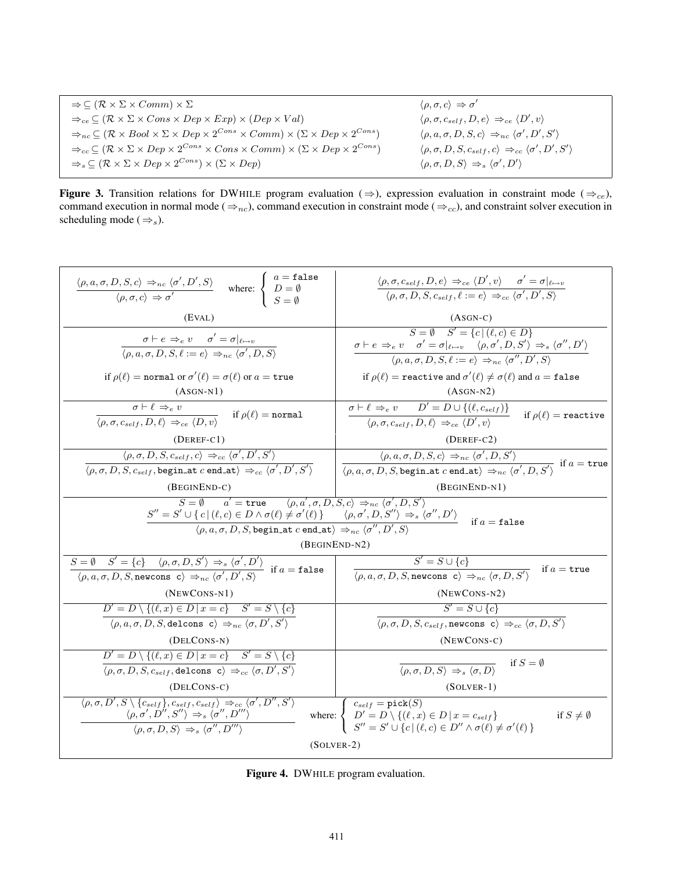| $\Rightarrow \subseteq (\mathcal{R} \times \Sigma \times Comm) \times \Sigma$                                                                          | $\langle \rho, \sigma, c \rangle \Rightarrow \sigma'$                                              |
|--------------------------------------------------------------------------------------------------------------------------------------------------------|----------------------------------------------------------------------------------------------------|
| $\Rightarrow_{ce} \subseteq (\mathcal{R} \times \Sigma \times Cons \times Dep \times Exp) \times (Dep \times Val)$                                     | $\langle \rho, \sigma, c_{self}, D, e \rangle \Rightarrow_{ce} \langle D', v \rangle$              |
| $\Rightarrow_{nc} \subseteq (\mathcal{R} \times Bool \times \Sigma \times Dep \times 2^{Cons} \times Comm) \times (\Sigma \times Dep \times 2^{Cons})$ | $\langle \rho, a, \sigma, D, S, c \rangle \Rightarrow_{nc} \langle \sigma', D', S' \rangle$        |
| $\Rightarrow_{cc} \subseteq (\mathcal{R} \times \Sigma \times Dep \times 2^{Cons} \times Cons \times Comm) \times (\Sigma \times Dep \times 2^{Cons})$ | $\langle \rho, \sigma, D, S, c_{self}, c \rangle \Rightarrow_{cc} \langle \sigma', D', S' \rangle$ |
| $\Rightarrow$ <sub>s</sub> $\subseteq (\mathcal{R} \times \Sigma \times Dep \times 2^{Cons}) \times (\Sigma \times Dep)$                               | $\langle \rho, \sigma, D, S \rangle \Rightarrow_s \langle \sigma', D' \rangle$                     |

Figure 3. Transition relations for DWHILE program evaluation ( $\Rightarrow$ ), expression evaluation in constraint mode ( $\Rightarrow_{ce}$ ), command execution in normal mode ( $\Rightarrow_{nc}$ ), command execution in constraint mode ( $\Rightarrow_{cc}$ ), and constraint solver execution in scheduling mode ( $\Rightarrow$ s).

| $\langle \rho, a, \sigma, D, S, c \rangle \Rightarrow_{nc} \langle \sigma', D', S \rangle$ where: $\begin{cases} a = \texttt{false} \\ D = \emptyset \\ S = \emptyset \end{cases}$                                                                                                                                                                                                                                                                          | $\langle \rho, \sigma, c_{self}, D, e \rangle \Rightarrow_{ce} \langle D', v \rangle \quad \sigma' = \sigma _{\ell \mapsto v}$<br>$\langle \rho, \sigma, D, S, c_{self}, \ell := e \rangle \Rightarrow_{cc} \langle \sigma', D', S \rangle$                                                                                         |  |  |  |  |  |  |
|-------------------------------------------------------------------------------------------------------------------------------------------------------------------------------------------------------------------------------------------------------------------------------------------------------------------------------------------------------------------------------------------------------------------------------------------------------------|-------------------------------------------------------------------------------------------------------------------------------------------------------------------------------------------------------------------------------------------------------------------------------------------------------------------------------------|--|--|--|--|--|--|
| (EVAL)                                                                                                                                                                                                                                                                                                                                                                                                                                                      | $(ASGN-C)$                                                                                                                                                                                                                                                                                                                          |  |  |  |  |  |  |
| $\frac{\sigma \vdash e \Rightarrow_e v \quad \sigma' = \sigma _{\ell \mapsto v}}{\langle \rho, a, \sigma, D, S, \ell := e \rangle \Rightarrow_{nc} \langle \sigma', D, S \rangle}$                                                                                                                                                                                                                                                                          | $S = \emptyset \quad S' = \{c \mid (\ell, c) \in D\}$<br>$\frac{\sigma \vdash e \Rightarrow_e v \quad \sigma' = \sigma _{\ell \mapsto v} \quad \langle \rho, \sigma', D, S' \rangle \Rightarrow_s \langle \sigma'', D' \rangle}{\langle \rho, a, \sigma, D, S, \ell := e \rangle \Rightarrow_{nc} \langle \sigma'', D', S \rangle}$ |  |  |  |  |  |  |
| if $\rho(\ell)$ = normal or $\sigma'(\ell) = \sigma(\ell)$ or $a = \text{true}$                                                                                                                                                                                                                                                                                                                                                                             | if $\rho(\ell)$ = reactive and $\sigma'(\ell) \neq \sigma(\ell)$ and $a = \mathtt{false}$                                                                                                                                                                                                                                           |  |  |  |  |  |  |
| $(ASGN-N1)$                                                                                                                                                                                                                                                                                                                                                                                                                                                 | $(ASGN-N2)$                                                                                                                                                                                                                                                                                                                         |  |  |  |  |  |  |
| $\overbrace{\langle \rho, \sigma, c_{self}, D, \ell \rangle \Rightarrow_{ce} \langle D, v \rangle}^{\sigma \ \vdash \ \ell \ \Rightarrow_{e} \ \ \vee \ \ } \quad \text{if } \rho(\ell) = \texttt{normal}$                                                                                                                                                                                                                                                  | $\frac{\sigma \vdash \ell \Rightarrow_e v \qquad D' = D \cup \{(\ell, c_{self})\}}{\langle \rho, \sigma, c_{self}, D, \ell \rangle \Rightarrow_{ce} \langle D', v \rangle}$<br>if $\rho(\ell)$ = reactive                                                                                                                           |  |  |  |  |  |  |
| $(DEREF-C1)$                                                                                                                                                                                                                                                                                                                                                                                                                                                | $(DEREF-C2)$                                                                                                                                                                                                                                                                                                                        |  |  |  |  |  |  |
| $\langle \rho, \sigma, D, S, c_{self}, c \rangle \Rightarrow_{cc} \langle \sigma', D', S' \rangle$                                                                                                                                                                                                                                                                                                                                                          | $\frac{\langle \rho, a, \sigma, D, S, c \rangle \Rightarrow_{nc} \langle \sigma', D, S' \rangle}{\langle \rho, a, \sigma, D, S, \text{begin-at } c \text{ end-at} \rangle \Rightarrow_{nc} \langle \sigma', D, S' \rangle} \text{ if } a = \text{true}$                                                                             |  |  |  |  |  |  |
| $\langle \rho, \sigma, D, S, c_{self}, \text{beginat } c \text{ end } \text{at } \rangle \Rightarrow_{cc} \langle \sigma', D', S' \rangle$                                                                                                                                                                                                                                                                                                                  |                                                                                                                                                                                                                                                                                                                                     |  |  |  |  |  |  |
| (BEGINEND-C)                                                                                                                                                                                                                                                                                                                                                                                                                                                | $(BEGINEND-N1)$                                                                                                                                                                                                                                                                                                                     |  |  |  |  |  |  |
| $S = \emptyset$ $a' = \text{true}$ $\langle \rho, a', \sigma, D, S, c \rangle \Rightarrow_{nc} \langle \sigma', D, S' \rangle$<br>$\frac{S'' = S' \cup \{c \mid (\ell, c) \in D \land \sigma(\ell) \neq \sigma'(\ell)\} \qquad \langle \rho, \sigma', D, S'' \rangle \Rightarrow_s \langle \sigma'', D' \rangle}{\langle \rho, a, \sigma, D, S, \text{begin} \text{at } c \text{ end } \text{at} \rangle \Rightarrow_{nc} \langle \sigma'', D', S \rangle}$ | if $a = false$                                                                                                                                                                                                                                                                                                                      |  |  |  |  |  |  |
|                                                                                                                                                                                                                                                                                                                                                                                                                                                             | (BEGINEND-N2)                                                                                                                                                                                                                                                                                                                       |  |  |  |  |  |  |
| $\frac{S = \emptyset \quad S' = \{c\} \quad \langle \rho, \sigma, D, S' \rangle \Rightarrow_s \langle \sigma', D' \rangle}{\langle \rho, a, \sigma, D, S, \text{neucons } c \rangle \Rightarrow_{nc} \langle \sigma', D', S \rangle} \text{ if } a = \texttt{false}$                                                                                                                                                                                        | $\frac{S' = S \cup \{c\}}{\langle \rho, a, \sigma, D, S, \text{neucons } \mathbf{c} \rangle \Rightarrow_{nc} \langle \sigma, D, S' \rangle}$<br>if $a = \text{true}$                                                                                                                                                                |  |  |  |  |  |  |
| $(NEWCons-N1)$                                                                                                                                                                                                                                                                                                                                                                                                                                              | $(NEWCons-N2)$                                                                                                                                                                                                                                                                                                                      |  |  |  |  |  |  |
| $\frac{D'=D\setminus\{(\ell,x)\in D\, \,x=c\}\quad S'=S\setminus\{c\}}{\langle \rho, a, \sigma, D, S, \text{delcons }\mathbf{c}\rangle \Rightarrow_{nc}\langle \sigma, D', S'\rangle}$                                                                                                                                                                                                                                                                      | $S' = S \cup \{c\}$                                                                                                                                                                                                                                                                                                                 |  |  |  |  |  |  |
|                                                                                                                                                                                                                                                                                                                                                                                                                                                             | $\overline{\langle \rho, \sigma, D, S, c_{self}, \text{newcons }\mathbf{c} \rangle \Rightarrow_{cc} \langle \sigma, D, S' \rangle}$                                                                                                                                                                                                 |  |  |  |  |  |  |
| $(DELCONS-N)$                                                                                                                                                                                                                                                                                                                                                                                                                                               | $(NEWCons-C)$                                                                                                                                                                                                                                                                                                                       |  |  |  |  |  |  |
| $D' = D \setminus \{(\ell, x) \in D \mid x = c\} \quad S' = S \setminus \{c\}$                                                                                                                                                                                                                                                                                                                                                                              | if $S = \emptyset$                                                                                                                                                                                                                                                                                                                  |  |  |  |  |  |  |
| $\langle \rho, \sigma, D, S, c_{self}, \text{deloens } c \rangle \Rightarrow_{cc} \langle \sigma, D', S' \rangle$                                                                                                                                                                                                                                                                                                                                           | $\langle \rho, \sigma, D, S \rangle \Rightarrow_s \langle \sigma, D \rangle$                                                                                                                                                                                                                                                        |  |  |  |  |  |  |
| (DELCONS-C)                                                                                                                                                                                                                                                                                                                                                                                                                                                 | $(SOLVER-1)$                                                                                                                                                                                                                                                                                                                        |  |  |  |  |  |  |
| $\overline{\langle\rho,\sigma,D',S\setminus\{c_{self}\},c_{self},c_{self}\rangle} \Rightarrow_{cc}\overline{\langle\sigma',D'',S'\rangle}$<br>$\langle \rho, \sigma', D'', S'' \rangle \Rightarrow_s \langle \sigma'', D''' \rangle$<br>$\langle \rho, \sigma, D, S \rangle \Rightarrow_s \langle \sigma'', D''' \rangle$                                                                                                                                   | where: $\begin{cases} c_{self} = \text{pick}(S) \\ D' = D \setminus \{(\ell, x) \in D \mid x = c_{self}\} \\ S'' = S' \cup \{c \mid (\ell, c) \in D'' \land \sigma(\ell) \neq \sigma'(\ell) \} \end{cases}$<br>if $S \neq \emptyset$                                                                                                |  |  |  |  |  |  |
|                                                                                                                                                                                                                                                                                                                                                                                                                                                             |                                                                                                                                                                                                                                                                                                                                     |  |  |  |  |  |  |

Figure 4. DWHILE program evaluation.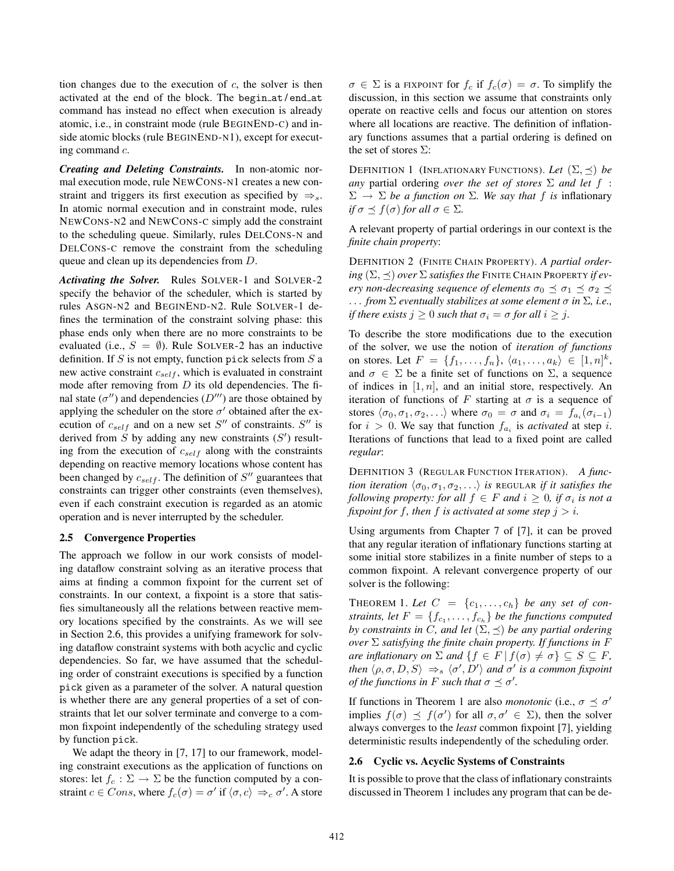tion changes due to the execution of  $c$ , the solver is then activated at the end of the block. The begin at / end at command has instead no effect when execution is already atomic, i.e., in constraint mode (rule BEGINEND-C) and inside atomic blocks (rule BEGINEND-N1), except for executing command c.

*Creating and Deleting Constraints.* In non-atomic normal execution mode, rule NEWCONS-N1 creates a new constraint and triggers its first execution as specified by  $\Rightarrow$ s. In atomic normal execution and in constraint mode, rules NEWCONS-N2 and NEWCONS-C simply add the constraint to the scheduling queue. Similarly, rules DELCONS-N and DELCONS-C remove the constraint from the scheduling queue and clean up its dependencies from D.

*Activating the Solver.* Rules SOLVER-1 and SOLVER-2 specify the behavior of the scheduler, which is started by rules ASGN-N2 and BEGINEND-N2. Rule SOLVER-1 defines the termination of the constraint solving phase: this phase ends only when there are no more constraints to be evaluated (i.e.,  $S = \emptyset$ ). Rule SOLVER-2 has an inductive definition. If S is not empty, function pick selects from S a new active constraint  $c_{self}$ , which is evaluated in constraint mode after removing from  $D$  its old dependencies. The final state  $(\sigma'')$  and dependencies  $(D''')$  are those obtained by applying the scheduler on the store  $\sigma'$  obtained after the execution of  $c_{self}$  and on a new set  $S''$  of constraints.  $S''$  is derived from  $\hat{S}$  by adding any new constraints  $(S')$  resulting from the execution of  $c_{self}$  along with the constraints depending on reactive memory locations whose content has been changed by  $c_{self}$ . The definition of  $S''$  guarantees that constraints can trigger other constraints (even themselves), even if each constraint execution is regarded as an atomic operation and is never interrupted by the scheduler.

#### 2.5 Convergence Properties

The approach we follow in our work consists of modeling dataflow constraint solving as an iterative process that aims at finding a common fixpoint for the current set of constraints. In our context, a fixpoint is a store that satisfies simultaneously all the relations between reactive memory locations specified by the constraints. As we will see in Section 2.6, this provides a unifying framework for solving dataflow constraint systems with both acyclic and cyclic dependencies. So far, we have assumed that the scheduling order of constraint executions is specified by a function pick given as a parameter of the solver. A natural question is whether there are any general properties of a set of constraints that let our solver terminate and converge to a common fixpoint independently of the scheduling strategy used by function pick.

We adapt the theory in [7, 17] to our framework, modeling constraint executions as the application of functions on stores: let  $f_c : \Sigma \to \Sigma$  be the function computed by a constraint  $c \in Cons$ , where  $f_c(\sigma) = \sigma'$  if  $\langle \sigma, c \rangle \Rightarrow_c \sigma'$ . A store

 $\sigma \in \Sigma$  is a FIXPOINT for  $f_c$  if  $f_c(\sigma) = \sigma$ . To simplify the discussion, in this section we assume that constraints only operate on reactive cells and focus our attention on stores where all locations are reactive. The definition of inflationary functions assumes that a partial ordering is defined on the set of stores Σ:

**DEFINITION 1** (INFLATIONARY FUNCTIONS). Let  $(\Sigma, \preceq)$  be *any* partial ordering *over the set of stores*  $\Sigma$  *and let*  $f$  :  $\Sigma \rightarrow \Sigma$  *be a function on*  $\Sigma$ *. We say that* f *is* inflationary *if*  $\sigma \preceq f(\sigma)$  *for all*  $\sigma \in \Sigma$ *.* 

A relevant property of partial orderings in our context is the *finite chain property*:

DEFINITION 2 (FINITE CHAIN PROPERTY). *A partial order* $ing(\Sigma, \preceq) over \Sigma satisfies the FINITE CHAIN PROPERTIES if ev$ *ery non-decreasing sequence of elements*  $\sigma_0 \preceq \sigma_1 \preceq \sigma_2 \preceq$ . . . *from* Σ *eventually stabilizes at some element* σ *in* Σ*, i.e., if there exists*  $j \geq 0$  *such that*  $\sigma_i = \sigma$  *for all*  $i \geq j$ *.* 

To describe the store modifications due to the execution of the solver, we use the notion of *iteration of functions* on stores. Let  $F = \{f_1, \ldots, f_n\}, \, \langle a_1, \ldots, a_k \rangle \in [1, n]^k,$ and  $\sigma \in \Sigma$  be a finite set of functions on  $\Sigma$ , a sequence of indices in  $[1, n]$ , and an initial store, respectively. An iteration of functions of F starting at  $\sigma$  is a sequence of stores  $\langle \sigma_0, \sigma_1, \sigma_2, \ldots \rangle$  where  $\sigma_0 = \sigma$  and  $\sigma_i = f_{a_i}(\sigma_{i-1})$ for  $i > 0$ . We say that function  $f_{a_i}$  is *activated* at step *i*. Iterations of functions that lead to a fixed point are called *regular*:

DEFINITION 3 (REGULAR FUNCTION ITERATION). *A function iteration*  $\langle \sigma_0, \sigma_1, \sigma_2, \ldots \rangle$  *is REGULAR if it satisfies the following property: for all*  $f \in F$  *and*  $i \geq 0$ *, if*  $\sigma_i$  *is not a fixpoint for* f, then f *is activated at some step*  $j > i$ .

Using arguments from Chapter 7 of [7], it can be proved that any regular iteration of inflationary functions starting at some initial store stabilizes in a finite number of steps to a common fixpoint. A relevant convergence property of our solver is the following:

THEOREM 1. Let  $C = \{c_1, \ldots, c_h\}$  be any set of constraints, let  $F = \{f_{c_1}, \ldots, f_{c_h}\}$  be the functions computed *by constraints in C, and let*  $(\Sigma, \preceq)$  *be any partial ordering over* Σ *satisfying the finite chain property. If functions in* F *are inflationary on*  $\Sigma$  *and*  $\{f \in F \mid f(\sigma) \neq \sigma\} \subseteq S \subseteq F$ , *then*  $\langle \rho, \sigma, D, S \rangle \Rightarrow_s \langle \sigma', D' \rangle$  *and*  $\sigma'$  *is a common fixpoint of the functions in* F *such that*  $\sigma \preceq \sigma'$ .

If functions in Theorem 1 are also *monotonic* (i.e.,  $\sigma \preceq \sigma'$ implies  $f(\sigma) \preceq f(\sigma')$  for all  $\sigma, \sigma' \in \Sigma$ ), then the solver always converges to the *least* common fixpoint [7], yielding deterministic results independently of the scheduling order.

## 2.6 Cyclic vs. Acyclic Systems of Constraints

It is possible to prove that the class of inflationary constraints discussed in Theorem 1 includes any program that can be de-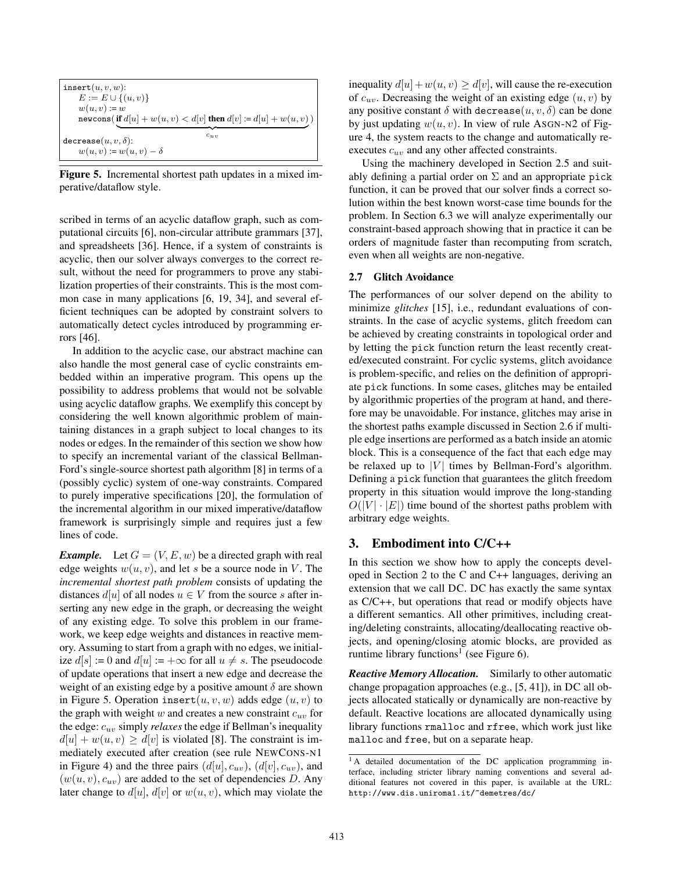| $insert(u, v, w)$ :<br>$E := E \cup \{(u, v)\}\$<br>$w(u, v) := w$          |  |
|-----------------------------------------------------------------------------|--|
| newcons( if $d[u] + w(u, v) < d[v]$ then $d[v] := d[u] + w(u, v)$ )         |  |
| $C_{11,11}$<br>decrease $(u, v, \delta)$ :<br>$w(u, v) := w(u, v) - \delta$ |  |

Figure 5. Incremental shortest path updates in a mixed imperative/dataflow style.

scribed in terms of an acyclic dataflow graph, such as computational circuits [6], non-circular attribute grammars [37], and spreadsheets [36]. Hence, if a system of constraints is acyclic, then our solver always converges to the correct result, without the need for programmers to prove any stabilization properties of their constraints. This is the most common case in many applications [6, 19, 34], and several efficient techniques can be adopted by constraint solvers to automatically detect cycles introduced by programming errors [46].

In addition to the acyclic case, our abstract machine can also handle the most general case of cyclic constraints embedded within an imperative program. This opens up the possibility to address problems that would not be solvable using acyclic dataflow graphs. We exemplify this concept by considering the well known algorithmic problem of maintaining distances in a graph subject to local changes to its nodes or edges. In the remainder of this section we show how to specify an incremental variant of the classical Bellman-Ford's single-source shortest path algorithm [8] in terms of a (possibly cyclic) system of one-way constraints. Compared to purely imperative specifications [20], the formulation of the incremental algorithm in our mixed imperative/dataflow framework is surprisingly simple and requires just a few lines of code.

*Example.* Let  $G = (V, E, w)$  be a directed graph with real edge weights  $w(u, v)$ , and let s be a source node in V. The *incremental shortest path problem* consists of updating the distances  $d[u]$  of all nodes  $u \in V$  from the source s after inserting any new edge in the graph, or decreasing the weight of any existing edge. To solve this problem in our framework, we keep edge weights and distances in reactive memory. Assuming to start from a graph with no edges, we initialize  $d[s] := 0$  and  $d[u] := +\infty$  for all  $u \neq s$ . The pseudocode of update operations that insert a new edge and decrease the weight of an existing edge by a positive amount  $\delta$  are shown in Figure 5. Operation insert $(u, v, w)$  adds edge  $(u, v)$  to the graph with weight w and creates a new constraint  $c_{uv}$  for the edge: cuv simply *relaxes* the edge if Bellman's inequality  $d[u] + w(u, v) > d[v]$  is violated [8]. The constraint is immediately executed after creation (see rule NEWCONS-N1 in Figure 4) and the three pairs  $(d[u], c_{uv}), (d[v], c_{uv})$ , and  $(w(u, v), c_{uv})$  are added to the set of dependencies D. Any later change to  $d[u]$ ,  $d[v]$  or  $w(u, v)$ , which may violate the inequality  $d[u] + w(u, v) \ge d[v]$ , will cause the re-execution of  $c_{uv}$ . Decreasing the weight of an existing edge  $(u, v)$  by any positive constant  $\delta$  with decrease $(u, v, \delta)$  can be done by just updating  $w(u, v)$ . In view of rule ASGN-N2 of Figure 4, the system reacts to the change and automatically reexecutes  $c_{uv}$  and any other affected constraints.

Using the machinery developed in Section 2.5 and suitably defining a partial order on  $\Sigma$  and an appropriate pick function, it can be proved that our solver finds a correct solution within the best known worst-case time bounds for the problem. In Section 6.3 we will analyze experimentally our constraint-based approach showing that in practice it can be orders of magnitude faster than recomputing from scratch, even when all weights are non-negative.

## 2.7 Glitch Avoidance

The performances of our solver depend on the ability to minimize *glitches* [15], i.e., redundant evaluations of constraints. In the case of acyclic systems, glitch freedom can be achieved by creating constraints in topological order and by letting the pick function return the least recently created/executed constraint. For cyclic systems, glitch avoidance is problem-specific, and relies on the definition of appropriate pick functions. In some cases, glitches may be entailed by algorithmic properties of the program at hand, and therefore may be unavoidable. For instance, glitches may arise in the shortest paths example discussed in Section 2.6 if multiple edge insertions are performed as a batch inside an atomic block. This is a consequence of the fact that each edge may be relaxed up to  $|V|$  times by Bellman-Ford's algorithm. Defining a pick function that guarantees the glitch freedom property in this situation would improve the long-standing  $O(|V| \cdot |E|)$  time bound of the shortest paths problem with arbitrary edge weights.

# 3. Embodiment into C/C++

In this section we show how to apply the concepts developed in Section 2 to the C and C++ languages, deriving an extension that we call DC. DC has exactly the same syntax as C/C++, but operations that read or modify objects have a different semantics. All other primitives, including creating/deleting constraints, allocating/deallocating reactive objects, and opening/closing atomic blocks, are provided as runtime library functions<sup>1</sup> (see Figure 6).

*Reactive Memory Allocation.* Similarly to other automatic change propagation approaches (e.g., [5, 41]), in DC all objects allocated statically or dynamically are non-reactive by default. Reactive locations are allocated dynamically using library functions rmalloc and rfree, which work just like malloc and free, but on a separate heap.

<sup>&</sup>lt;sup>1</sup>A detailed documentation of the DC application programming interface, including stricter library naming conventions and several additional features not covered in this paper, is available at the URL: http://www.dis.uniroma1.it/~demetres/dc/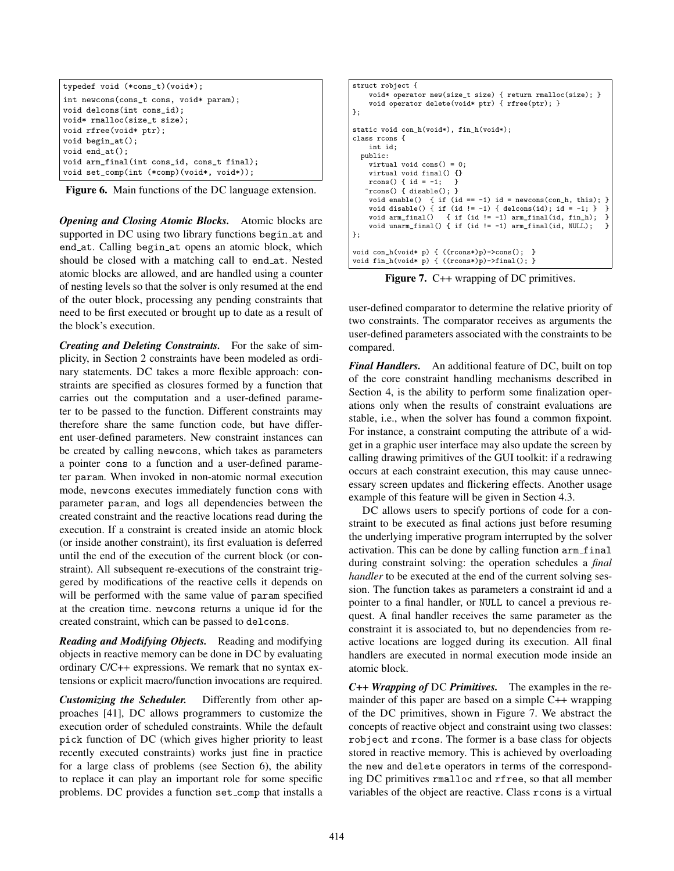```
typedef void (*cons_t)(void*);
int newcons(cons t cons, void* param);
void delcons(int cons_id);
void* rmalloc(size_t size);
void rfree(void* ptr);
void begin_at();
void end_at();
void arm_final(int cons_id, cons_t final);
void set_comp(int (*comp)(void*, void*));
```
Figure 6. Main functions of the DC language extension.

*Opening and Closing Atomic Blocks.* Atomic blocks are supported in DC using two library functions begin at and end at. Calling begin at opens an atomic block, which should be closed with a matching call to end\_at. Nested atomic blocks are allowed, and are handled using a counter of nesting levels so that the solver is only resumed at the end of the outer block, processing any pending constraints that need to be first executed or brought up to date as a result of the block's execution.

*Creating and Deleting Constraints.* For the sake of simplicity, in Section 2 constraints have been modeled as ordinary statements. DC takes a more flexible approach: constraints are specified as closures formed by a function that carries out the computation and a user-defined parameter to be passed to the function. Different constraints may therefore share the same function code, but have different user-defined parameters. New constraint instances can be created by calling newcons, which takes as parameters a pointer cons to a function and a user-defined parameter param. When invoked in non-atomic normal execution mode, newcons executes immediately function cons with parameter param, and logs all dependencies between the created constraint and the reactive locations read during the execution. If a constraint is created inside an atomic block (or inside another constraint), its first evaluation is deferred until the end of the execution of the current block (or constraint). All subsequent re-executions of the constraint triggered by modifications of the reactive cells it depends on will be performed with the same value of param specified at the creation time. newcons returns a unique id for the created constraint, which can be passed to delcons.

*Reading and Modifying Objects.* Reading and modifying objects in reactive memory can be done in DC by evaluating ordinary C/C++ expressions. We remark that no syntax extensions or explicit macro/function invocations are required.

*Customizing the Scheduler.* Differently from other approaches [41], DC allows programmers to customize the execution order of scheduled constraints. While the default pick function of DC (which gives higher priority to least recently executed constraints) works just fine in practice for a large class of problems (see Section 6), the ability to replace it can play an important role for some specific problems. DC provides a function set comp that installs a

| struct robject {<br>void* operator new(size_t size) { return rmalloc(size); }<br>void operator delete(void* ptr) { rfree(ptr); }<br>}; |
|----------------------------------------------------------------------------------------------------------------------------------------|
| static void con_h(void*), fin_h(void*);                                                                                                |
| class rcons f                                                                                                                          |
| int id:                                                                                                                                |
| public:                                                                                                                                |
| virtual void cons() = $0$ ;                                                                                                            |
| virtual void final() {}                                                                                                                |
| $rcons() \{ id = -1; \}$                                                                                                               |
| $\text{`rcons() } \{ \text{ disable(); } \}$                                                                                           |
| void enable() { if (id == -1) id = newcons(con_h, this); }                                                                             |
| void disable() { if (id != -1) { delcons(id); id = -1; } }                                                                             |
| void $arm_final()$ { if (id != -1) $arm_final(id, fin_h);$ }                                                                           |
| void unarm_final() { if (id != $-1$ ) arm_final(id, NULL);                                                                             |
| };                                                                                                                                     |
| void con_h(void* p) { $((rcons*)p)$ ->cons(); }<br>void fin_h(void* p) { $((rcons*)p)$ ->final(); }                                    |

Figure 7. C++ wrapping of DC primitives.

user-defined comparator to determine the relative priority of two constraints. The comparator receives as arguments the user-defined parameters associated with the constraints to be compared.

*Final Handlers.* An additional feature of DC, built on top of the core constraint handling mechanisms described in Section 4, is the ability to perform some finalization operations only when the results of constraint evaluations are stable, i.e., when the solver has found a common fixpoint. For instance, a constraint computing the attribute of a widget in a graphic user interface may also update the screen by calling drawing primitives of the GUI toolkit: if a redrawing occurs at each constraint execution, this may cause unnecessary screen updates and flickering effects. Another usage example of this feature will be given in Section 4.3.

DC allows users to specify portions of code for a constraint to be executed as final actions just before resuming the underlying imperative program interrupted by the solver activation. This can be done by calling function arm final during constraint solving: the operation schedules a *final handler* to be executed at the end of the current solving session. The function takes as parameters a constraint id and a pointer to a final handler, or NULL to cancel a previous request. A final handler receives the same parameter as the constraint it is associated to, but no dependencies from reactive locations are logged during its execution. All final handlers are executed in normal execution mode inside an atomic block.

*C++ Wrapping of* DC *Primitives.* The examples in the remainder of this paper are based on a simple C++ wrapping of the DC primitives, shown in Figure 7. We abstract the concepts of reactive object and constraint using two classes: robject and rcons. The former is a base class for objects stored in reactive memory. This is achieved by overloading the new and delete operators in terms of the corresponding DC primitives rmalloc and rfree, so that all member variables of the object are reactive. Class rcons is a virtual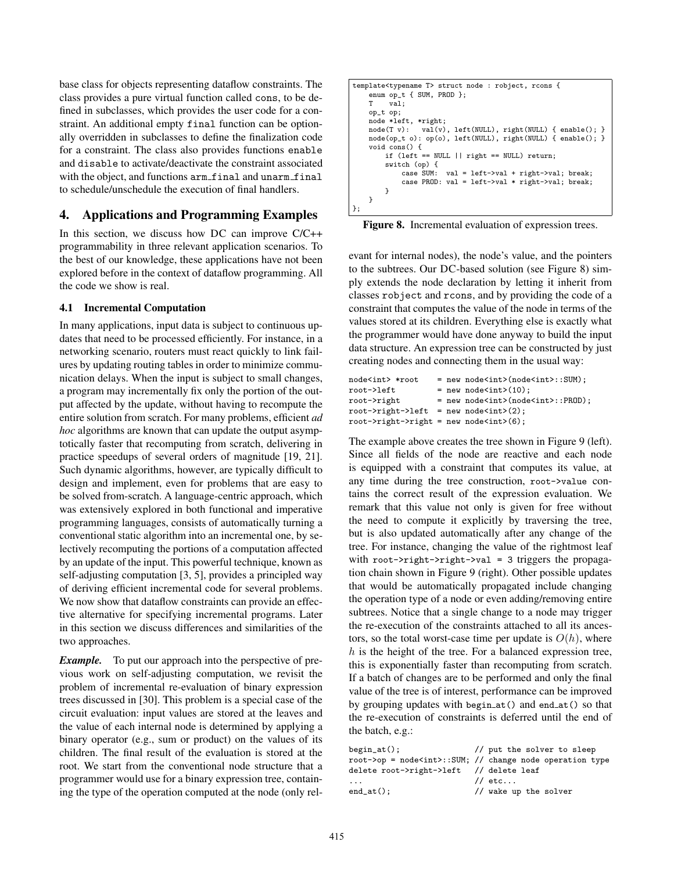base class for objects representing dataflow constraints. The class provides a pure virtual function called cons, to be defined in subclasses, which provides the user code for a constraint. An additional empty final function can be optionally overridden in subclasses to define the finalization code for a constraint. The class also provides functions enable and disable to activate/deactivate the constraint associated with the object, and functions arm\_final and unarm\_final to schedule/unschedule the execution of final handlers.

# 4. Applications and Programming Examples

In this section, we discuss how DC can improve C/C++ programmability in three relevant application scenarios. To the best of our knowledge, these applications have not been explored before in the context of dataflow programming. All the code we show is real.

## 4.1 Incremental Computation

In many applications, input data is subject to continuous updates that need to be processed efficiently. For instance, in a networking scenario, routers must react quickly to link failures by updating routing tables in order to minimize communication delays. When the input is subject to small changes, a program may incrementally fix only the portion of the output affected by the update, without having to recompute the entire solution from scratch. For many problems, efficient *ad hoc* algorithms are known that can update the output asymptotically faster that recomputing from scratch, delivering in practice speedups of several orders of magnitude [19, 21]. Such dynamic algorithms, however, are typically difficult to design and implement, even for problems that are easy to be solved from-scratch. A language-centric approach, which was extensively explored in both functional and imperative programming languages, consists of automatically turning a conventional static algorithm into an incremental one, by selectively recomputing the portions of a computation affected by an update of the input. This powerful technique, known as self-adjusting computation [3, 5], provides a principled way of deriving efficient incremental code for several problems. We now show that dataflow constraints can provide an effective alternative for specifying incremental programs. Later in this section we discuss differences and similarities of the two approaches.

*Example.* To put our approach into the perspective of previous work on self-adjusting computation, we revisit the problem of incremental re-evaluation of binary expression trees discussed in [30]. This problem is a special case of the circuit evaluation: input values are stored at the leaves and the value of each internal node is determined by applying a binary operator (e.g., sum or product) on the values of its children. The final result of the evaluation is stored at the root. We start from the conventional node structure that a programmer would use for a binary expression tree, containing the type of the operation computed at the node (only rel-

```
template<typename T> struct node : robject, rcons {
    enum op_t { SUM, PROD };
    T val;
    op_t op;
    node *left, *right;<br>node(T v): val(v)
                 val(v), left(NULL), right(NULL) { enable(); }
    node(op_t o): op(o), left(NULL), right(NULL) { enable(); }
    void cons() {
        if (left == NULL || right == NULL) return;
        switch (op) {
            case SUM: val = left->val + right->val; break;
            case PROD: val = left->val * right->val; break;
        }
   }
};
```
Figure 8. Incremental evaluation of expression trees.

evant for internal nodes), the node's value, and the pointers to the subtrees. Our DC-based solution (see Figure 8) simply extends the node declaration by letting it inherit from classes robject and rcons, and by providing the code of a constraint that computes the value of the node in terms of the values stored at its children. Everything else is exactly what the programmer would have done anyway to build the input data structure. An expression tree can be constructed by just creating nodes and connecting them in the usual way:

```
node<int> *root = new node<int>(node<int>::SUM);
root->left = new node\langle int \rangle(10);
root->right = new node<int>(node<int>::PROD);
root->right->left = new node<int>(2);
root->right->right = new node<int>(6);
```
The example above creates the tree shown in Figure 9 (left). Since all fields of the node are reactive and each node is equipped with a constraint that computes its value, at any time during the tree construction, root->value contains the correct result of the expression evaluation. We remark that this value not only is given for free without the need to compute it explicitly by traversing the tree, but is also updated automatically after any change of the tree. For instance, changing the value of the rightmost leaf with root->right->right->val = 3 triggers the propagation chain shown in Figure 9 (right). Other possible updates that would be automatically propagated include changing the operation type of a node or even adding/removing entire subtrees. Notice that a single change to a node may trigger the re-execution of the constraints attached to all its ancestors, so the total worst-case time per update is  $O(h)$ , where  $h$  is the height of the tree. For a balanced expression tree, this is exponentially faster than recomputing from scratch. If a batch of changes are to be performed and only the final value of the tree is of interest, performance can be improved by grouping updates with begin at() and end at() so that the re-execution of constraints is deferred until the end of the batch, e.g.:

| $begintexttt{b}$                        | // put the solver to sleep                                      |
|-----------------------------------------|-----------------------------------------------------------------|
|                                         | root->op = node <int>::SUM; // change node operation type</int> |
| delete root->right->left // delete leaf |                                                                 |
| $\cdots$                                | // $etc$                                                        |
| $end_at()$ ;                            | // wake up the solver                                           |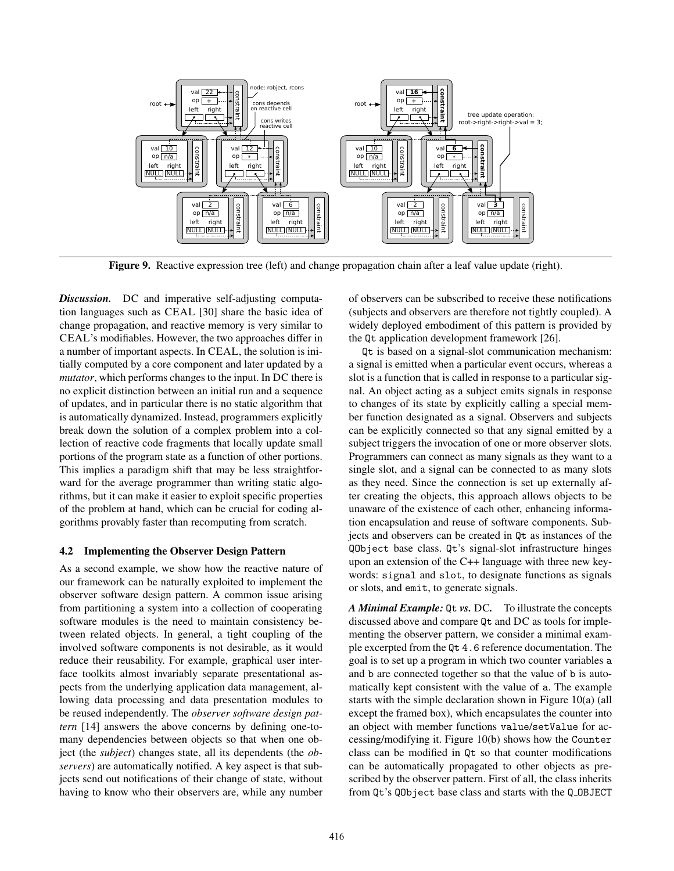

Figure 9. Reactive expression tree (left) and change propagation chain after a leaf value update (right).

*Discussion.* DC and imperative self-adjusting computation languages such as CEAL [30] share the basic idea of change propagation, and reactive memory is very similar to CEAL's modifiables. However, the two approaches differ in a number of important aspects. In CEAL, the solution is initially computed by a core component and later updated by a *mutator*, which performs changes to the input. In DC there is no explicit distinction between an initial run and a sequence of updates, and in particular there is no static algorithm that is automatically dynamized. Instead, programmers explicitly break down the solution of a complex problem into a collection of reactive code fragments that locally update small portions of the program state as a function of other portions. This implies a paradigm shift that may be less straightforward for the average programmer than writing static algorithms, but it can make it easier to exploit specific properties of the problem at hand, which can be crucial for coding algorithms provably faster than recomputing from scratch.

## 4.2 Implementing the Observer Design Pattern

As a second example, we show how the reactive nature of our framework can be naturally exploited to implement the observer software design pattern. A common issue arising from partitioning a system into a collection of cooperating software modules is the need to maintain consistency between related objects. In general, a tight coupling of the involved software components is not desirable, as it would reduce their reusability. For example, graphical user interface toolkits almost invariably separate presentational aspects from the underlying application data management, allowing data processing and data presentation modules to be reused independently. The *observer software design pattern* [14] answers the above concerns by defining one-tomany dependencies between objects so that when one object (the *subject*) changes state, all its dependents (the *observers*) are automatically notified. A key aspect is that subjects send out notifications of their change of state, without having to know who their observers are, while any number of observers can be subscribed to receive these notifications (subjects and observers are therefore not tightly coupled). A widely deployed embodiment of this pattern is provided by the Qt application development framework [26].

Qt is based on a signal-slot communication mechanism: a signal is emitted when a particular event occurs, whereas a slot is a function that is called in response to a particular signal. An object acting as a subject emits signals in response to changes of its state by explicitly calling a special member function designated as a signal. Observers and subjects can be explicitly connected so that any signal emitted by a subject triggers the invocation of one or more observer slots. Programmers can connect as many signals as they want to a single slot, and a signal can be connected to as many slots as they need. Since the connection is set up externally after creating the objects, this approach allows objects to be unaware of the existence of each other, enhancing information encapsulation and reuse of software components. Subjects and observers can be created in Qt as instances of the QObject base class. Qt's signal-slot infrastructure hinges upon an extension of the C++ language with three new keywords: signal and slot, to designate functions as signals or slots, and emit, to generate signals.

*A Minimal Example:* Qt *vs.* DC*.* To illustrate the concepts discussed above and compare Qt and DC as tools for implementing the observer pattern, we consider a minimal example excerpted from the Qt 4.6 reference documentation. The goal is to set up a program in which two counter variables a and b are connected together so that the value of b is automatically kept consistent with the value of a. The example starts with the simple declaration shown in Figure 10(a) (all except the framed box), which encapsulates the counter into an object with member functions value/setValue for accessing/modifying it. Figure 10(b) shows how the Counter class can be modified in Qt so that counter modifications can be automatically propagated to other objects as prescribed by the observer pattern. First of all, the class inherits from Qt's QObject base class and starts with the Q OBJECT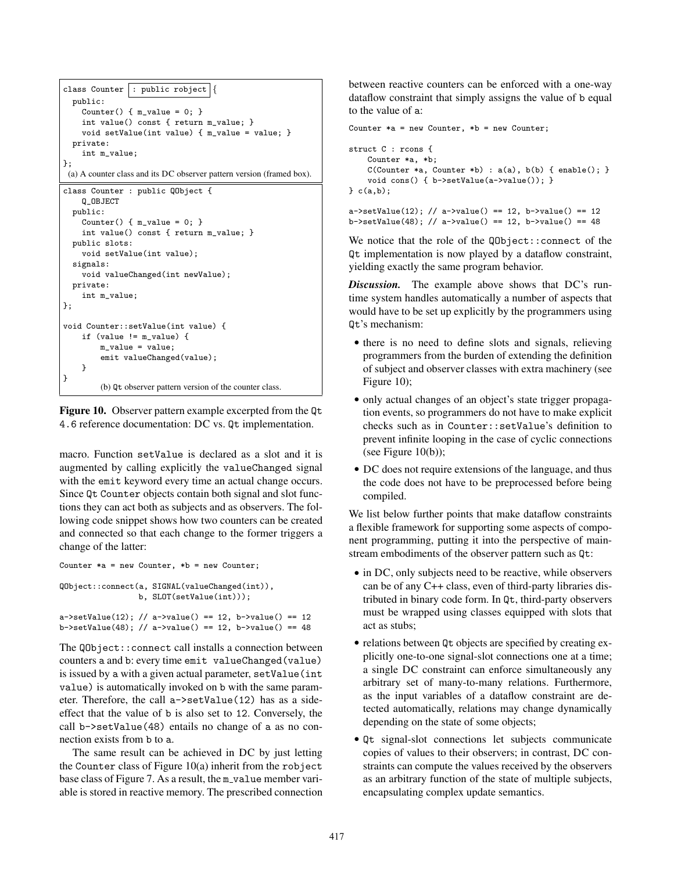```
class Counter : public robject
  public:
    Counter() \{ m_value = 0; \}int value() const { return m_value; }
    void setValue(int value) { m_value = value; }
  private:
    int m_value;
};
 (a) A counter class and its DC observer pattern version (framed box).
class Counter : public QObject {
    Q_OBJECT
  public:
    Counter() { m_value = 0; }
    int value() const { return m_value; }
  public slots:
    void setValue(int value);
  signals:
    void valueChanged(int newValue);
  private:
    int m_value;
};
void Counter::setValue(int value) {
    if (value != m_value) {
        m value = value:
        emit valueChanged(value);
    }
}
        (b) Qt observer pattern version of the counter class.
```
Figure 10. Observer pattern example excerpted from the Qt 4.6 reference documentation: DC vs. Qt implementation.

macro. Function setValue is declared as a slot and it is augmented by calling explicitly the valueChanged signal with the emit keyword every time an actual change occurs. Since Qt Counter objects contain both signal and slot functions they can act both as subjects and as observers. The following code snippet shows how two counters can be created and connected so that each change to the former triggers a change of the latter:

```
Counter *a = new Counter, *b = new Counter;
QObject::connect(a, SIGNAL(valueChanged(int)),
                b, SLOT(setValue(int)));
a->setValue(12); // a->value() == 12, b->value() == 12
b->setValue(48); // a->value() == 12, b->value() == 48
```
The QObject::connect call installs a connection between counters a and b: every time emit valueChanged(value) is issued by a with a given actual parameter, setValue(int value) is automatically invoked on b with the same parameter. Therefore, the call a->setValue(12) has as a sideeffect that the value of b is also set to 12. Conversely, the call b->setValue(48) entails no change of a as no connection exists from b to a.

The same result can be achieved in DC by just letting the Counter class of Figure 10(a) inherit from the robject base class of Figure 7. As a result, the m\_value member variable is stored in reactive memory. The prescribed connection between reactive counters can be enforced with a one-way dataflow constraint that simply assigns the value of b equal to the value of a:

```
Counter *a = new Counter, *b = new Counter;struct C : rcons {
    Counter *a, *b;
    C(C\text{counter } *a, \text{ Counter } *b): a(a), b(b) \text{ { enable(); }}void cons() { b->setValue(a->value()); }
\} c(a,b);
```
 $a$ ->setValue(12); //  $a$ ->value() == 12,  $b$ ->value() == 12 b->setValue(48); // a->value() == 12, b->value() == 48

We notice that the role of the QObject::connect of the Qt implementation is now played by a dataflow constraint, yielding exactly the same program behavior.

*Discussion.* The example above shows that DC's runtime system handles automatically a number of aspects that would have to be set up explicitly by the programmers using Qt's mechanism:

- there is no need to define slots and signals, relieving programmers from the burden of extending the definition of subject and observer classes with extra machinery (see Figure 10);
- only actual changes of an object's state trigger propagation events, so programmers do not have to make explicit checks such as in Counter::setValue's definition to prevent infinite looping in the case of cyclic connections (see Figure  $10(b)$ );
- DC does not require extensions of the language, and thus the code does not have to be preprocessed before being compiled.

We list below further points that make dataflow constraints a flexible framework for supporting some aspects of component programming, putting it into the perspective of mainstream embodiments of the observer pattern such as Qt:

- in DC, only subjects need to be reactive, while observers can be of any C++ class, even of third-party libraries distributed in binary code form. In Qt, third-party observers must be wrapped using classes equipped with slots that act as stubs;
- relations between Qt objects are specified by creating explicitly one-to-one signal-slot connections one at a time; a single DC constraint can enforce simultaneously any arbitrary set of many-to-many relations. Furthermore, as the input variables of a dataflow constraint are detected automatically, relations may change dynamically depending on the state of some objects;
- Qt signal-slot connections let subjects communicate copies of values to their observers; in contrast, DC constraints can compute the values received by the observers as an arbitrary function of the state of multiple subjects, encapsulating complex update semantics.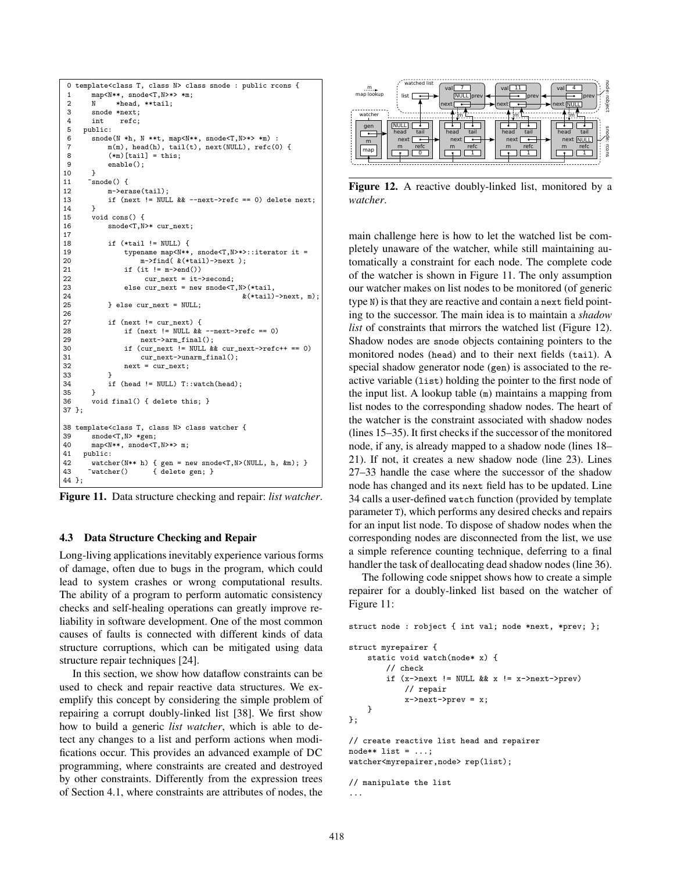```
0 template<class T, class N> class snode : public rcons {
 1 map<N**, snode<T,N>*> *m;
 2 N *head, **tail;
 3 snode *next;<br>4 int refc;
         int refc
 5 public:
 6 snode(N *h, N **t, map<N**, snode<T,N>*> *m)<br>7 m(m) head(h) tail(t) next(NUII) refo
 7 m(m), head(h), tail(t), next(NULL), refc(0) {<br>8 (*m)[\text{tail} = \text{this}:(*m)[tail] = this;
 9 enable();<br>10 }
1011 \text{r} \text{mode}() \{12\} \text{m} \text{-} \text{Peri}12 m->erase(tail);<br>13 if (next != NUL
             if (next != NULL && --next->refc == 0) delete next;
\begin{array}{ccc} 14 & & & \text{ } \\ 15 & & & \text{ } \text{ } \text{ } \end{array}void cons() {
16 snode<T,N>* cur_next;
17
18 if (*tail != NULL) {<br>19 typename map<N**
19 typename map<N**, snode<T,N>*>::iterator it = 20 m->find( \&(*tail)->next );
20 m->find(k(*tail)-\text{next});<br>21 if (it != m-\geqend())
21 if (it != m\text{-}\text{send}())<br>22 cur next = it-
22 cur_next = it->second;<br>23 else cur next = new snode<T
23 else cur_next = new snode<T,N>(*tail, 24
                                                      &(*tail)-\geq_{next}, m):
25 } else cur_next = NULL;
26
27 if (next != cur_next) {<br>28 if (next != NULL &&
                  if (next != NULL & x --next->refc == 0)
29 next->arm_final();<br>30 if (cur next != NULL &
30 if (cur_next != NULL & & cur_next->refc++ == 0)<br>31 cur next->unarm final():
31 cur_next->unarm_final();<br>32 next = cur_next;
                  next = cur next:
33 }<br>34 i
        if (head != NULL) T::watch(head);35 }
36 void final() { delete this; }
37 };
38 template<class T, class N> class watcher {
39 snode<T,N> *gen;
40 map<N**, snode<T,N>*> m;
41 public:
42 watcher(N** h) { gen = new snode<T,N>(NULL, h, &m); }
43 ~watcher() { delete gen; }
44 };
```
Figure 11. Data structure checking and repair: *list watcher*.

#### 4.3 Data Structure Checking and Repair

Long-living applications inevitably experience various forms of damage, often due to bugs in the program, which could lead to system crashes or wrong computational results. The ability of a program to perform automatic consistency checks and self-healing operations can greatly improve reliability in software development. One of the most common causes of faults is connected with different kinds of data structure corruptions, which can be mitigated using data structure repair techniques [24].

In this section, we show how dataflow constraints can be used to check and repair reactive data structures. We exemplify this concept by considering the simple problem of repairing a corrupt doubly-linked list [38]. We first show how to build a generic *list watcher*, which is able to detect any changes to a list and perform actions when modifications occur. This provides an advanced example of DC programming, where constraints are created and destroyed by other constraints. Differently from the expression trees of Section 4.1, where constraints are attributes of nodes, the



Figure 12. A reactive doubly-linked list, monitored by a *watcher*.

main challenge here is how to let the watched list be completely unaware of the watcher, while still maintaining automatically a constraint for each node. The complete code of the watcher is shown in Figure 11. The only assumption our watcher makes on list nodes to be monitored (of generic type N) is that they are reactive and contain a next field pointing to the successor. The main idea is to maintain a *shadow list* of constraints that mirrors the watched list (Figure 12). Shadow nodes are snode objects containing pointers to the monitored nodes (head) and to their next fields (tail). A special shadow generator node (gen) is associated to the reactive variable (list) holding the pointer to the first node of the input list. A lookup table (m) maintains a mapping from list nodes to the corresponding shadow nodes. The heart of the watcher is the constraint associated with shadow nodes (lines 15–35). It first checks if the successor of the monitored node, if any, is already mapped to a shadow node (lines 18– 21). If not, it creates a new shadow node (line 23). Lines 27–33 handle the case where the successor of the shadow node has changed and its next field has to be updated. Line 34 calls a user-defined watch function (provided by template parameter T), which performs any desired checks and repairs for an input list node. To dispose of shadow nodes when the corresponding nodes are disconnected from the list, we use a simple reference counting technique, deferring to a final handler the task of deallocating dead shadow nodes (line 36).

The following code snippet shows how to create a simple repairer for a doubly-linked list based on the watcher of Figure 11:

```
struct node : robject { int val; node *next, *prev; };
```

```
struct myrepairer {
    static void watch(node* x) {
        // check
        if (x->next != NULL && x != x->next->prev)
            // repair
            x->next->prev = x;
   }
```
};

// create reactive list head and repairer node\*\* list =  $\dots;$ watcher<myrepairer,node> rep(list);

```
// manipulate the list
...
```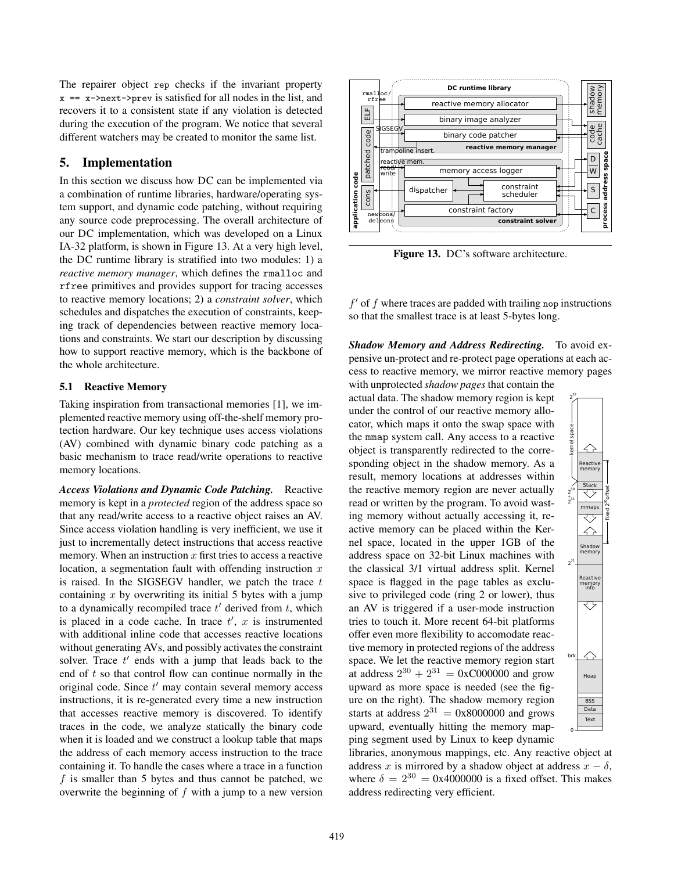The repairer object rep checks if the invariant property  $x = x$ ->next->prev is satisfied for all nodes in the list, and recovers it to a consistent state if any violation is detected during the execution of the program. We notice that several different watchers may be created to monitor the same list.

## 5. Implementation

In this section we discuss how DC can be implemented via a combination of runtime libraries, hardware/operating system support, and dynamic code patching, without requiring any source code preprocessing. The overall architecture of our DC implementation, which was developed on a Linux IA-32 platform, is shown in Figure 13. At a very high level, the DC runtime library is stratified into two modules: 1) a *reactive memory manager*, which defines the rmalloc and rfree primitives and provides support for tracing accesses to reactive memory locations; 2) a *constraint solver*, which schedules and dispatches the execution of constraints, keeping track of dependencies between reactive memory locations and constraints. We start our description by discussing how to support reactive memory, which is the backbone of the whole architecture.

## 5.1 Reactive Memory

Taking inspiration from transactional memories [1], we implemented reactive memory using off-the-shelf memory protection hardware. Our key technique uses access violations (AV) combined with dynamic binary code patching as a basic mechanism to trace read/write operations to reactive memory locations.

*Access Violations and Dynamic Code Patching.* Reactive memory is kept in a *protected* region of the address space so that any read/write access to a reactive object raises an AV. Since access violation handling is very inefficient, we use it just to incrementally detect instructions that access reactive memory. When an instruction  $x$  first tries to access a reactive location, a segmentation fault with offending instruction  $x$ is raised. In the SIGSEGV handler, we patch the trace  $t$ containing  $x$  by overwriting its initial 5 bytes with a jump to a dynamically recompiled trace  $t'$  derived from  $t$ , which is placed in a code cache. In trace  $t'$ ,  $x$  is instrumented with additional inline code that accesses reactive locations without generating AVs, and possibly activates the constraint solver. Trace  $t'$  ends with a jump that leads back to the end of  $t$  so that control flow can continue normally in the original code. Since  $t'$  may contain several memory access instructions, it is re-generated every time a new instruction that accesses reactive memory is discovered. To identify traces in the code, we analyze statically the binary code when it is loaded and we construct a lookup table that maps the address of each memory access instruction to the trace containing it. To handle the cases where a trace in a function  $f$  is smaller than 5 bytes and thus cannot be patched, we overwrite the beginning of  $f$  with a jump to a new version



Figure 13. DC's software architecture.

 $f'$  of  $f$  where traces are padded with trailing nop instructions so that the smallest trace is at least 5-bytes long.

*Shadow Memory and Address Redirecting.* To avoid expensive un-protect and re-protect page operations at each access to reactive memory, we mirror reactive memory pages

with unprotected *shadow pages* that contain the actual data. The shadow memory region is kept under the control of our reactive memory allocator, which maps it onto the swap space with the mmap system call. Any access to a reactive object is transparently redirected to the corresponding object in the shadow memory. As a result, memory locations at addresses within the reactive memory region are never actually read or written by the program. To avoid wasting memory without actually accessing it, reactive memory can be placed within the Kernel space, located in the upper 1GB of the address space on 32-bit Linux machines with the classical 3/1 virtual address split. Kernel space is flagged in the page tables as exclusive to privileged code (ring 2 or lower), thus an AV is triggered if a user-mode instruction tries to touch it. More recent 64-bit platforms offer even more flexibility to accomodate reactive memory in protected regions of the address space. We let the reactive memory region start at address  $2^{30} + 2^{31} = 0$ xC000000 and grow upward as more space is needed (see the figure on the right). The shadow memory region starts at address  $2^{31} = 0x8000000$  and grows upward, eventually hitting the memory mapping segment used by Linux to keep dynamic



libraries, anonymous mappings, etc. Any reactive object at address x is mirrored by a shadow object at address  $x - \delta$ , where  $\delta = 2^{30} = 0x4000000$  is a fixed offset. This makes address redirecting very efficient.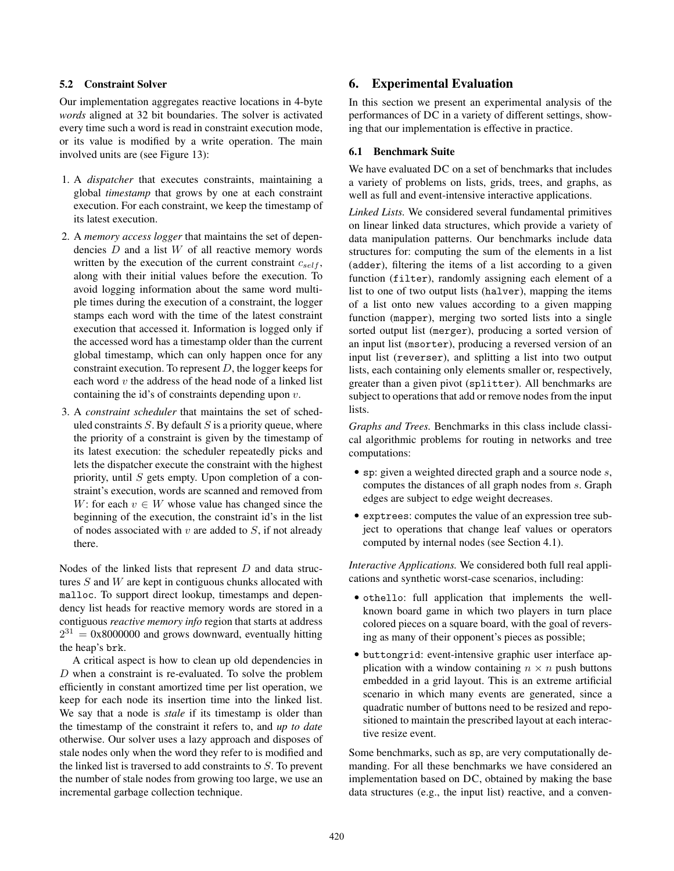## 5.2 Constraint Solver

Our implementation aggregates reactive locations in 4-byte *words* aligned at 32 bit boundaries. The solver is activated every time such a word is read in constraint execution mode, or its value is modified by a write operation. The main involved units are (see Figure 13):

- 1. A *dispatcher* that executes constraints, maintaining a global *timestamp* that grows by one at each constraint execution. For each constraint, we keep the timestamp of its latest execution.
- 2. A *memory access logger* that maintains the set of dependencies  $D$  and a list  $W$  of all reactive memory words written by the execution of the current constraint  $c_{self}$ , along with their initial values before the execution. To avoid logging information about the same word multiple times during the execution of a constraint, the logger stamps each word with the time of the latest constraint execution that accessed it. Information is logged only if the accessed word has a timestamp older than the current global timestamp, which can only happen once for any constraint execution. To represent  $D$ , the logger keeps for each word  $v$  the address of the head node of a linked list containing the id's of constraints depending upon v.
- 3. A *constraint scheduler* that maintains the set of scheduled constraints  $S$ . By default  $S$  is a priority queue, where the priority of a constraint is given by the timestamp of its latest execution: the scheduler repeatedly picks and lets the dispatcher execute the constraint with the highest priority, until S gets empty. Upon completion of a constraint's execution, words are scanned and removed from W: for each  $v \in W$  whose value has changed since the beginning of the execution, the constraint id's in the list of nodes associated with  $v$  are added to  $S$ , if not already there.

Nodes of the linked lists that represent  $D$  and data structures  $S$  and  $W$  are kept in contiguous chunks allocated with malloc. To support direct lookup, timestamps and dependency list heads for reactive memory words are stored in a contiguous *reactive memory info* region that starts at address  $2^{31}$  = 0x8000000 and grows downward, eventually hitting the heap's brk.

A critical aspect is how to clean up old dependencies in  $D$  when a constraint is re-evaluated. To solve the problem efficiently in constant amortized time per list operation, we keep for each node its insertion time into the linked list. We say that a node is *stale* if its timestamp is older than the timestamp of the constraint it refers to, and *up to date* otherwise. Our solver uses a lazy approach and disposes of stale nodes only when the word they refer to is modified and the linked list is traversed to add constraints to S. To prevent the number of stale nodes from growing too large, we use an incremental garbage collection technique.

# 6. Experimental Evaluation

In this section we present an experimental analysis of the performances of DC in a variety of different settings, showing that our implementation is effective in practice.

## 6.1 Benchmark Suite

We have evaluated DC on a set of benchmarks that includes a variety of problems on lists, grids, trees, and graphs, as well as full and event-intensive interactive applications.

*Linked Lists.* We considered several fundamental primitives on linear linked data structures, which provide a variety of data manipulation patterns. Our benchmarks include data structures for: computing the sum of the elements in a list (adder), filtering the items of a list according to a given function (filter), randomly assigning each element of a list to one of two output lists (halver), mapping the items of a list onto new values according to a given mapping function (mapper), merging two sorted lists into a single sorted output list (merger), producing a sorted version of an input list (msorter), producing a reversed version of an input list (reverser), and splitting a list into two output lists, each containing only elements smaller or, respectively, greater than a given pivot (splitter). All benchmarks are subject to operations that add or remove nodes from the input lists.

*Graphs and Trees.* Benchmarks in this class include classical algorithmic problems for routing in networks and tree computations:

- sp: given a weighted directed graph and a source node  $s$ , computes the distances of all graph nodes from s. Graph edges are subject to edge weight decreases.
- exptrees: computes the value of an expression tree subject to operations that change leaf values or operators computed by internal nodes (see Section 4.1).

*Interactive Applications.* We considered both full real applications and synthetic worst-case scenarios, including:

- othello: full application that implements the wellknown board game in which two players in turn place colored pieces on a square board, with the goal of reversing as many of their opponent's pieces as possible;
- buttongrid: event-intensive graphic user interface application with a window containing  $n \times n$  push buttons embedded in a grid layout. This is an extreme artificial scenario in which many events are generated, since a quadratic number of buttons need to be resized and repositioned to maintain the prescribed layout at each interactive resize event.

Some benchmarks, such as sp, are very computationally demanding. For all these benchmarks we have considered an implementation based on DC, obtained by making the base data structures (e.g., the input list) reactive, and a conven-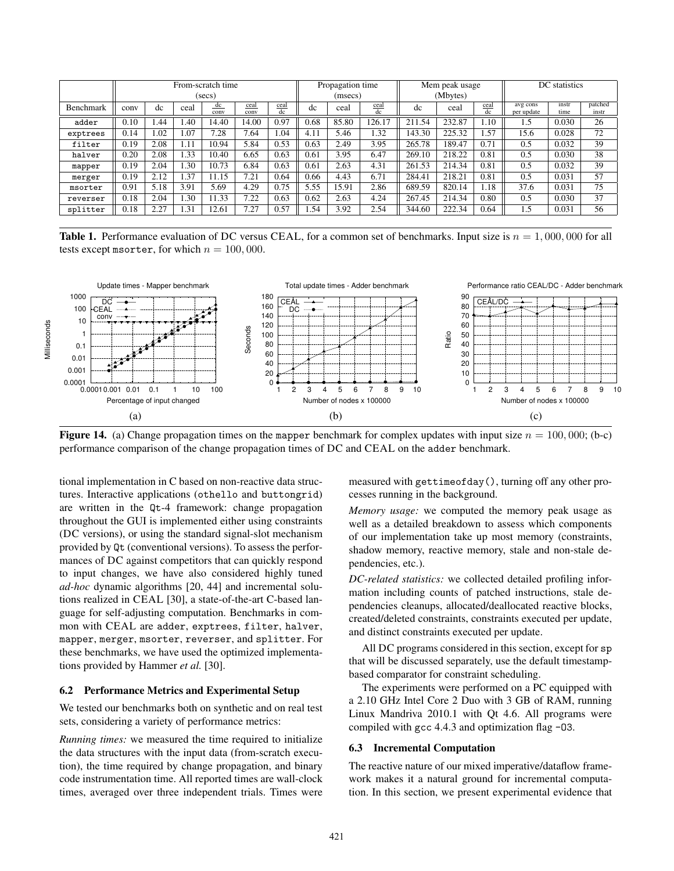|           | From-scratch time |                  |      |            |              |            |      | Propagation time |              |          | Mem peak usage |            |                        | DC statistics |                  |  |
|-----------|-------------------|------------------|------|------------|--------------|------------|------|------------------|--------------|----------|----------------|------------|------------------------|---------------|------------------|--|
|           |                   |                  |      | (secs)     |              |            |      | (msecs)          |              | (Mbytes) |                |            |                        |               |                  |  |
| Benchmark | conv              | dc               | ceal | dc<br>conv | ceal<br>conv | ceal<br>dc | dc   | ceal             | ceal<br>dc   | dc       | ceal           | ceal<br>dc | avg cons<br>per update | instr<br>time | patched<br>instr |  |
| adder     | 0.10              | $\overline{.44}$ | .40  | 14.40      | 14.00        | 0.97       | 0.68 | 85.80            | רו<br>126.11 | 211.54   | 232.87         | 1.10       | 1.5                    | 0.030         | 26               |  |
| exptrees  | 0.14              | 0.02             | 1.07 | 7.28       | 7.64         | l.04       | 4.11 | 5.46             | 1.32         | 143.30   | 225.32         | 1.57       | 15.6                   | 0.028         | 72               |  |
| filter    | 0.19              | 2.08             | l.11 | 10.94      | 5.84         | 0.53       | 0.63 | 2.49             | 3.95         | 265.78   | 189.47         | 0.71       | 0.5                    | 0.032         | 39               |  |
| halver    | 0.20              | 2.08             | .33  | 10.40      | 6.65         | 0.63       | 0.61 | 3.95             | 6.47         | 269.10   | 218.22         | 0.81       | 0.5                    | 0.030         | 38               |  |
| mapper    | 0.19              | 2.04             | .30  | 10.73      | 6.84         | 0.63       | 0.61 | 2.63             | 4.31         | 261.53   | 214.34         | 0.81       | 0.5                    | 0.032         | 39               |  |
| merger    | 0.19              | 2.12             | .37  | 11.15      | 7.21         | 0.64       | 0.66 | 4.43             | 6.71         | 284.41   | 218.21         | 0.81       | 0.5                    | 0.031         | 57               |  |
| msorter   | 0.91              | 5.18             | 3.91 | 5.69       | 4.29         | 0.75       | 5.55 | 15.91            | 2.86         | 689.59   | 820.14         | 1.18       | 37.6                   | 0.031         | 75               |  |
| reverser  | 0.18              | 2.04             | .30  | 11.33      | 7.22         | 0.63       | 0.62 | 2.63             | 4.24         | 267.45   | 214.34         | 0.80       | 0.5                    | 0.030         | 37               |  |
| splitter  | 0.18              | 2.27             | .31  | 12.61      | 7.27         | 0.57       | .54  | 3.92             | 2.54         | 344.60   | 222.34         | 0.64       | L.)                    | 0.031         | 56               |  |

**Table 1.** Performance evaluation of DC versus CEAL, for a common set of benchmarks. Input size is  $n = 1,000,000$  for all tests except msorter, for which  $n = 100,000$ .



**Figure 14.** (a) Change propagation times on the mapper benchmark for complex updates with input size  $n = 100,000$ ; (b-c) performance comparison of the change propagation times of DC and CEAL on the adder benchmark.

tional implementation in C based on non-reactive data structures. Interactive applications (othello and buttongrid) are written in the Qt-4 framework: change propagation throughout the GUI is implemented either using constraints (DC versions), or using the standard signal-slot mechanism provided by Qt (conventional versions). To assess the performances of DC against competitors that can quickly respond to input changes, we have also considered highly tuned *ad-hoc* dynamic algorithms [20, 44] and incremental solutions realized in CEAL [30], a state-of-the-art C-based language for self-adjusting computation. Benchmarks in common with CEAL are adder, exptrees, filter, halver, mapper, merger, msorter, reverser, and splitter. For these benchmarks, we have used the optimized implementations provided by Hammer *et al.* [30].

#### 6.2 Performance Metrics and Experimental Setup

We tested our benchmarks both on synthetic and on real test sets, considering a variety of performance metrics:

*Running times:* we measured the time required to initialize the data structures with the input data (from-scratch execution), the time required by change propagation, and binary code instrumentation time. All reported times are wall-clock times, averaged over three independent trials. Times were

measured with gettimeofday(), turning off any other processes running in the background.

*Memory usage:* we computed the memory peak usage as well as a detailed breakdown to assess which components of our implementation take up most memory (constraints, shadow memory, reactive memory, stale and non-stale dependencies, etc.).

*DC-related statistics:* we collected detailed profiling information including counts of patched instructions, stale dependencies cleanups, allocated/deallocated reactive blocks, created/deleted constraints, constraints executed per update, and distinct constraints executed per update.

All DC programs considered in this section, except for sp that will be discussed separately, use the default timestampbased comparator for constraint scheduling.

The experiments were performed on a PC equipped with a 2.10 GHz Intel Core 2 Duo with 3 GB of RAM, running Linux Mandriva 2010.1 with Qt 4.6. All programs were compiled with gcc 4.4.3 and optimization flag -O3.

#### 6.3 Incremental Computation

The reactive nature of our mixed imperative/dataflow framework makes it a natural ground for incremental computation. In this section, we present experimental evidence that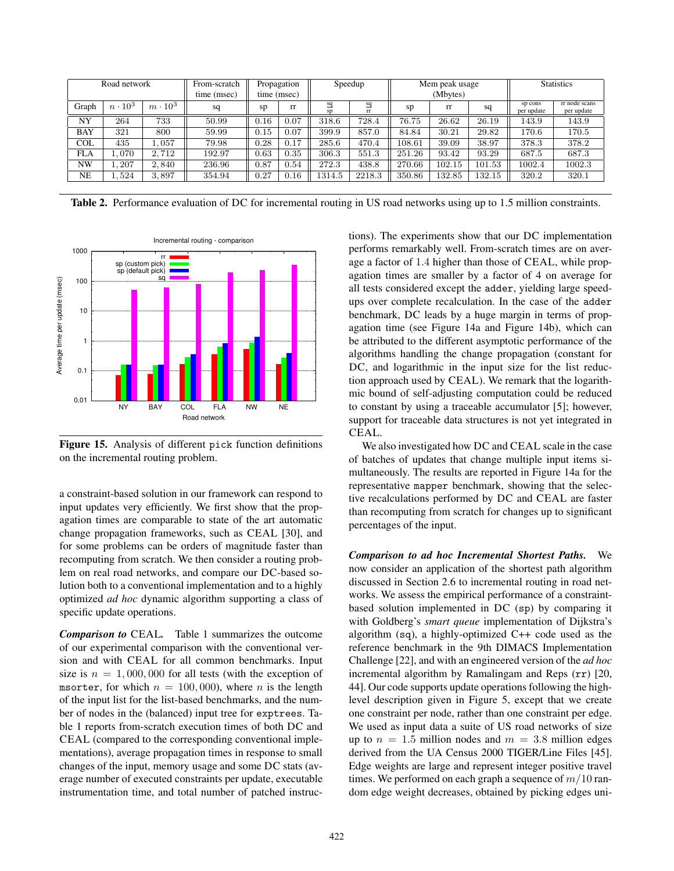|            | Road network   |                | From-scratch<br>time (msec) | Propagation<br>time (msec) |      | Speedup   |                       | Mem peak usage<br>(Mbytes) |        |        | <b>Statistics</b>     |                             |  |
|------------|----------------|----------------|-----------------------------|----------------------------|------|-----------|-----------------------|----------------------------|--------|--------|-----------------------|-----------------------------|--|
| Graph      | $n \cdot 10^3$ | $m \cdot 10^3$ | sq                          | sp                         | rr   | sq<br>sn. | $\overline{sq}$<br>rr | sp                         | rr     | sq     | sp cons<br>per update | rr node scans<br>per update |  |
| NY         | 264            | 733            | 50.99                       | 0.16                       | 0.07 | 318.6     | 728.4                 | 76.75                      | 26.62  | 26.19  | 143.9                 | 143.9                       |  |
| <b>BAY</b> | 321            | 800            | 59.99                       | 0.15                       | 0.07 | 399.9     | 857.0                 | 84.84                      | 30.21  | 29.82  | 170.6                 | 170.5                       |  |
| <b>COL</b> | 435            | 1,057          | 79.98                       | 0.28                       | 0.17 | 285.6     | 470.4                 | 108.61                     | 39.09  | 38.97  | 378.3                 | 378.2                       |  |
| <b>FLA</b> | .070           | 2,712          | 192.97                      | 0.63                       | 0.35 | 306.3     | 551.3                 | 251.26                     | 93.42  | 93.29  | 687.5                 | 687.3                       |  |
| <b>NW</b>  | .207           | 2.840          | 236.96                      | 0.87                       | 0.54 | 272.3     | 438.8                 | 270.66                     | 102.15 | 101.53 | 1002.4                | 1002.3                      |  |
| NE         | .524           | 3,897          | 354.94                      | 0.27                       | 0.16 | 1314.5    | 2218.3                | 350.86                     | 132.85 | 132.15 | 320.2                 | 320.1                       |  |

Table 2. Performance evaluation of DC for incremental routing in US road networks using up to 1.5 million constraints.



Figure 15. Analysis of different pick function definitions on the incremental routing problem.

a constraint-based solution in our framework can respond to input updates very efficiently. We first show that the propagation times are comparable to state of the art automatic change propagation frameworks, such as CEAL [30], and for some problems can be orders of magnitude faster than recomputing from scratch. We then consider a routing problem on real road networks, and compare our DC-based solution both to a conventional implementation and to a highly optimized *ad hoc* dynamic algorithm supporting a class of specific update operations.

*Comparison to* CEAL*.* Table 1 summarizes the outcome of our experimental comparison with the conventional version and with CEAL for all common benchmarks. Input size is  $n = 1,000,000$  for all tests (with the exception of msorter, for which  $n = 100,000$ , where *n* is the length of the input list for the list-based benchmarks, and the number of nodes in the (balanced) input tree for exptrees. Table 1 reports from-scratch execution times of both DC and CEAL (compared to the corresponding conventional implementations), average propagation times in response to small changes of the input, memory usage and some DC stats (average number of executed constraints per update, executable instrumentation time, and total number of patched instructions). The experiments show that our DC implementation performs remarkably well. From-scratch times are on average a factor of 1.4 higher than those of CEAL, while propagation times are smaller by a factor of 4 on average for all tests considered except the adder, yielding large speedups over complete recalculation. In the case of the adder benchmark, DC leads by a huge margin in terms of propagation time (see Figure 14a and Figure 14b), which can be attributed to the different asymptotic performance of the algorithms handling the change propagation (constant for DC, and logarithmic in the input size for the list reduction approach used by CEAL). We remark that the logarithmic bound of self-adjusting computation could be reduced to constant by using a traceable accumulator [5]; however, support for traceable data structures is not yet integrated in CEAL.

We also investigated how DC and CEAL scale in the case of batches of updates that change multiple input items simultaneously. The results are reported in Figure 14a for the representative mapper benchmark, showing that the selective recalculations performed by DC and CEAL are faster than recomputing from scratch for changes up to significant percentages of the input.

*Comparison to ad hoc Incremental Shortest Paths.* We now consider an application of the shortest path algorithm discussed in Section 2.6 to incremental routing in road networks. We assess the empirical performance of a constraintbased solution implemented in DC (sp) by comparing it with Goldberg's *smart queue* implementation of Dijkstra's algorithm (sq), a highly-optimized  $C++$  code used as the reference benchmark in the 9th DIMACS Implementation Challenge [22], and with an engineered version of the *ad hoc* incremental algorithm by Ramalingam and Reps (rr) [20, 44]. Our code supports update operations following the highlevel description given in Figure 5, except that we create one constraint per node, rather than one constraint per edge. We used as input data a suite of US road networks of size up to  $n = 1.5$  million nodes and  $m = 3.8$  million edges derived from the UA Census 2000 TIGER/Line Files [45]. Edge weights are large and represent integer positive travel times. We performed on each graph a sequence of  $m/10$  random edge weight decreases, obtained by picking edges uni-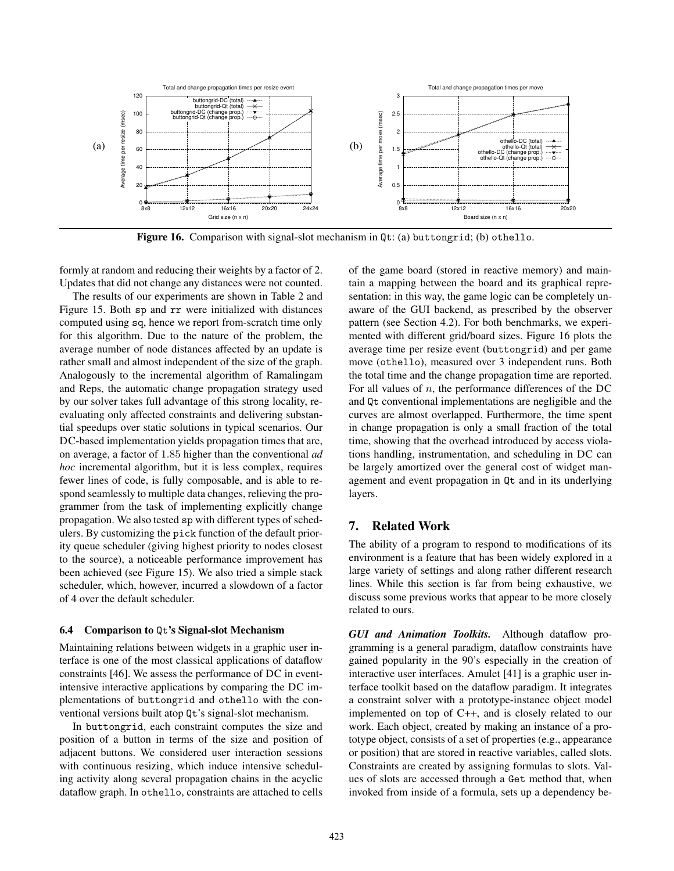

Figure 16. Comparison with signal-slot mechanism in Qt: (a) buttongrid; (b) othello.

formly at random and reducing their weights by a factor of 2. Updates that did not change any distances were not counted.

The results of our experiments are shown in Table 2 and Figure 15. Both sp and rr were initialized with distances computed using sq, hence we report from-scratch time only for this algorithm. Due to the nature of the problem, the average number of node distances affected by an update is rather small and almost independent of the size of the graph. Analogously to the incremental algorithm of Ramalingam and Reps, the automatic change propagation strategy used by our solver takes full advantage of this strong locality, reevaluating only affected constraints and delivering substantial speedups over static solutions in typical scenarios. Our DC-based implementation yields propagation times that are, on average, a factor of 1.85 higher than the conventional *ad hoc* incremental algorithm, but it is less complex, requires fewer lines of code, is fully composable, and is able to respond seamlessly to multiple data changes, relieving the programmer from the task of implementing explicitly change propagation. We also tested sp with different types of schedulers. By customizing the pick function of the default priority queue scheduler (giving highest priority to nodes closest to the source), a noticeable performance improvement has been achieved (see Figure 15). We also tried a simple stack scheduler, which, however, incurred a slowdown of a factor of 4 over the default scheduler.

#### 6.4 Comparison to Qt's Signal-slot Mechanism

Maintaining relations between widgets in a graphic user interface is one of the most classical applications of dataflow constraints [46]. We assess the performance of DC in eventintensive interactive applications by comparing the DC implementations of buttongrid and othello with the conventional versions built atop Qt's signal-slot mechanism.

In buttongrid, each constraint computes the size and position of a button in terms of the size and position of adjacent buttons. We considered user interaction sessions with continuous resizing, which induce intensive scheduling activity along several propagation chains in the acyclic dataflow graph. In othello, constraints are attached to cells of the game board (stored in reactive memory) and maintain a mapping between the board and its graphical representation: in this way, the game logic can be completely unaware of the GUI backend, as prescribed by the observer pattern (see Section 4.2). For both benchmarks, we experimented with different grid/board sizes. Figure 16 plots the average time per resize event (buttongrid) and per game move (othello), measured over 3 independent runs. Both the total time and the change propagation time are reported. For all values of  $n$ , the performance differences of the DC and Qt conventional implementations are negligible and the curves are almost overlapped. Furthermore, the time spent in change propagation is only a small fraction of the total time, showing that the overhead introduced by access violations handling, instrumentation, and scheduling in DC can be largely amortized over the general cost of widget management and event propagation in Qt and in its underlying layers.

# 7. Related Work

The ability of a program to respond to modifications of its environment is a feature that has been widely explored in a large variety of settings and along rather different research lines. While this section is far from being exhaustive, we discuss some previous works that appear to be more closely related to ours.

*GUI and Animation Toolkits.* Although dataflow programming is a general paradigm, dataflow constraints have gained popularity in the 90's especially in the creation of interactive user interfaces. Amulet [41] is a graphic user interface toolkit based on the dataflow paradigm. It integrates a constraint solver with a prototype-instance object model implemented on top of C++, and is closely related to our work. Each object, created by making an instance of a prototype object, consists of a set of properties (e.g., appearance or position) that are stored in reactive variables, called slots. Constraints are created by assigning formulas to slots. Values of slots are accessed through a Get method that, when invoked from inside of a formula, sets up a dependency be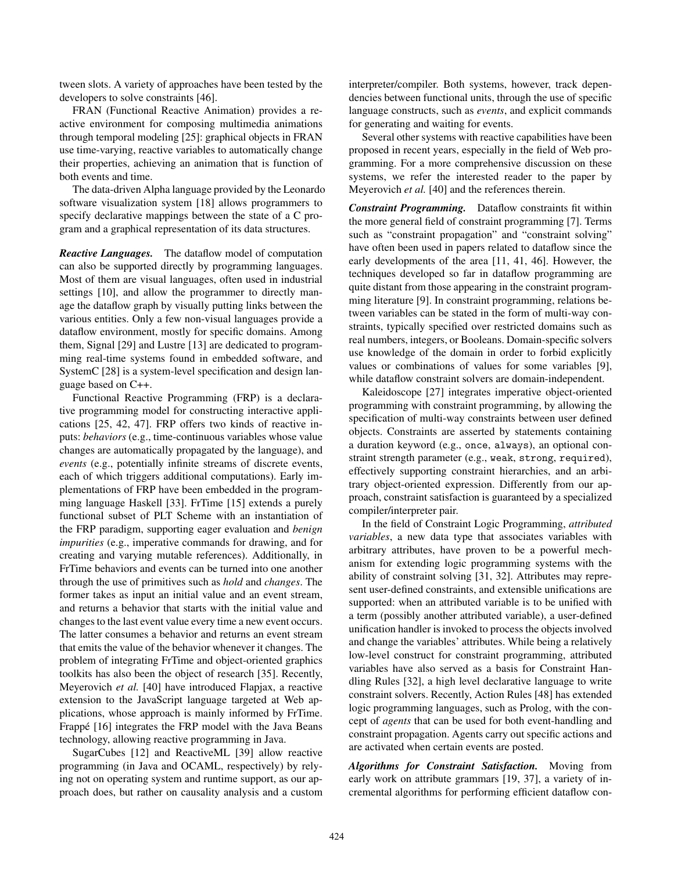tween slots. A variety of approaches have been tested by the developers to solve constraints [46].

FRAN (Functional Reactive Animation) provides a reactive environment for composing multimedia animations through temporal modeling [25]: graphical objects in FRAN use time-varying, reactive variables to automatically change their properties, achieving an animation that is function of both events and time.

The data-driven Alpha language provided by the Leonardo software visualization system [18] allows programmers to specify declarative mappings between the state of a C program and a graphical representation of its data structures.

*Reactive Languages.* The dataflow model of computation can also be supported directly by programming languages. Most of them are visual languages, often used in industrial settings [10], and allow the programmer to directly manage the dataflow graph by visually putting links between the various entities. Only a few non-visual languages provide a dataflow environment, mostly for specific domains. Among them, Signal [29] and Lustre [13] are dedicated to programming real-time systems found in embedded software, and SystemC [28] is a system-level specification and design language based on C++.

Functional Reactive Programming (FRP) is a declarative programming model for constructing interactive applications [25, 42, 47]. FRP offers two kinds of reactive inputs: *behaviors* (e.g., time-continuous variables whose value changes are automatically propagated by the language), and *events* (e.g., potentially infinite streams of discrete events, each of which triggers additional computations). Early implementations of FRP have been embedded in the programming language Haskell [33]. FrTime [15] extends a purely functional subset of PLT Scheme with an instantiation of the FRP paradigm, supporting eager evaluation and *benign impurities* (e.g., imperative commands for drawing, and for creating and varying mutable references). Additionally, in FrTime behaviors and events can be turned into one another through the use of primitives such as *hold* and *changes*. The former takes as input an initial value and an event stream, and returns a behavior that starts with the initial value and changes to the last event value every time a new event occurs. The latter consumes a behavior and returns an event stream that emits the value of the behavior whenever it changes. The problem of integrating FrTime and object-oriented graphics toolkits has also been the object of research [35]. Recently, Meyerovich *et al.* [40] have introduced Flapjax, a reactive extension to the JavaScript language targeted at Web applications, whose approach is mainly informed by FrTime. Frappé [16] integrates the FRP model with the Java Beans technology, allowing reactive programming in Java.

SugarCubes [12] and ReactiveML [39] allow reactive programming (in Java and OCAML, respectively) by relying not on operating system and runtime support, as our approach does, but rather on causality analysis and a custom interpreter/compiler. Both systems, however, track dependencies between functional units, through the use of specific language constructs, such as *events*, and explicit commands for generating and waiting for events.

Several other systems with reactive capabilities have been proposed in recent years, especially in the field of Web programming. For a more comprehensive discussion on these systems, we refer the interested reader to the paper by Meyerovich *et al.* [40] and the references therein.

*Constraint Programming.* Dataflow constraints fit within the more general field of constraint programming [7]. Terms such as "constraint propagation" and "constraint solving" have often been used in papers related to dataflow since the early developments of the area [11, 41, 46]. However, the techniques developed so far in dataflow programming are quite distant from those appearing in the constraint programming literature [9]. In constraint programming, relations between variables can be stated in the form of multi-way constraints, typically specified over restricted domains such as real numbers, integers, or Booleans. Domain-specific solvers use knowledge of the domain in order to forbid explicitly values or combinations of values for some variables [9], while dataflow constraint solvers are domain-independent.

Kaleidoscope [27] integrates imperative object-oriented programming with constraint programming, by allowing the specification of multi-way constraints between user defined objects. Constraints are asserted by statements containing a duration keyword (e.g., once, always), an optional constraint strength parameter (e.g., weak, strong, required), effectively supporting constraint hierarchies, and an arbitrary object-oriented expression. Differently from our approach, constraint satisfaction is guaranteed by a specialized compiler/interpreter pair.

In the field of Constraint Logic Programming, *attributed variables*, a new data type that associates variables with arbitrary attributes, have proven to be a powerful mechanism for extending logic programming systems with the ability of constraint solving [31, 32]. Attributes may represent user-defined constraints, and extensible unifications are supported: when an attributed variable is to be unified with a term (possibly another attributed variable), a user-defined unification handler is invoked to process the objects involved and change the variables' attributes. While being a relatively low-level construct for constraint programming, attributed variables have also served as a basis for Constraint Handling Rules [32], a high level declarative language to write constraint solvers. Recently, Action Rules [48] has extended logic programming languages, such as Prolog, with the concept of *agents* that can be used for both event-handling and constraint propagation. Agents carry out specific actions and are activated when certain events are posted.

*Algorithms for Constraint Satisfaction.* Moving from early work on attribute grammars [19, 37], a variety of incremental algorithms for performing efficient dataflow con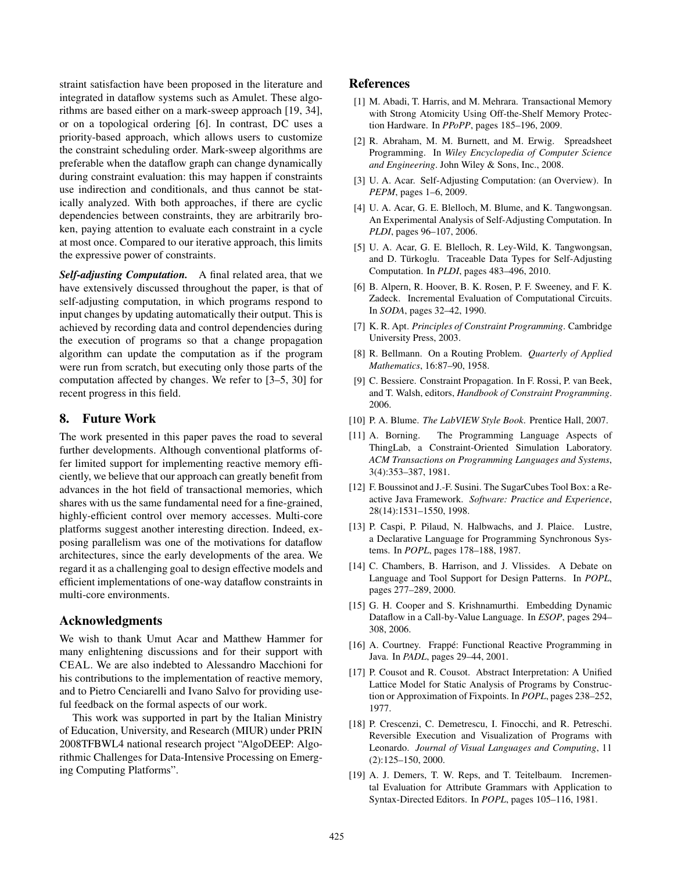straint satisfaction have been proposed in the literature and integrated in dataflow systems such as Amulet. These algorithms are based either on a mark-sweep approach [19, 34], or on a topological ordering [6]. In contrast, DC uses a priority-based approach, which allows users to customize the constraint scheduling order. Mark-sweep algorithms are preferable when the dataflow graph can change dynamically during constraint evaluation: this may happen if constraints use indirection and conditionals, and thus cannot be statically analyzed. With both approaches, if there are cyclic dependencies between constraints, they are arbitrarily broken, paying attention to evaluate each constraint in a cycle at most once. Compared to our iterative approach, this limits the expressive power of constraints.

*Self-adjusting Computation.* A final related area, that we have extensively discussed throughout the paper, is that of self-adjusting computation, in which programs respond to input changes by updating automatically their output. This is achieved by recording data and control dependencies during the execution of programs so that a change propagation algorithm can update the computation as if the program were run from scratch, but executing only those parts of the computation affected by changes. We refer to [3–5, 30] for recent progress in this field.

# 8. Future Work

The work presented in this paper paves the road to several further developments. Although conventional platforms offer limited support for implementing reactive memory efficiently, we believe that our approach can greatly benefit from advances in the hot field of transactional memories, which shares with us the same fundamental need for a fine-grained, highly-efficient control over memory accesses. Multi-core platforms suggest another interesting direction. Indeed, exposing parallelism was one of the motivations for dataflow architectures, since the early developments of the area. We regard it as a challenging goal to design effective models and efficient implementations of one-way dataflow constraints in multi-core environments.

## Acknowledgments

We wish to thank Umut Acar and Matthew Hammer for many enlightening discussions and for their support with CEAL. We are also indebted to Alessandro Macchioni for his contributions to the implementation of reactive memory, and to Pietro Cenciarelli and Ivano Salvo for providing useful feedback on the formal aspects of our work.

This work was supported in part by the Italian Ministry of Education, University, and Research (MIUR) under PRIN 2008TFBWL4 national research project "AlgoDEEP: Algorithmic Challenges for Data-Intensive Processing on Emerging Computing Platforms".

# References

- [1] M. Abadi, T. Harris, and M. Mehrara. Transactional Memory with Strong Atomicity Using Off-the-Shelf Memory Protection Hardware. In *PPoPP*, pages 185–196, 2009.
- [2] R. Abraham, M. M. Burnett, and M. Erwig. Spreadsheet Programming. In *Wiley Encyclopedia of Computer Science and Engineering*. John Wiley & Sons, Inc., 2008.
- [3] U. A. Acar. Self-Adjusting Computation: (an Overview). In *PEPM*, pages 1–6, 2009.
- [4] U. A. Acar, G. E. Blelloch, M. Blume, and K. Tangwongsan. An Experimental Analysis of Self-Adjusting Computation. In *PLDI*, pages 96–107, 2006.
- [5] U. A. Acar, G. E. Blelloch, R. Ley-Wild, K. Tangwongsan, and D. Türkoglu. Traceable Data Types for Self-Adjusting Computation. In *PLDI*, pages 483–496, 2010.
- [6] B. Alpern, R. Hoover, B. K. Rosen, P. F. Sweeney, and F. K. Zadeck. Incremental Evaluation of Computational Circuits. In *SODA*, pages 32–42, 1990.
- [7] K. R. Apt. *Principles of Constraint Programming*. Cambridge University Press, 2003.
- [8] R. Bellmann. On a Routing Problem. *Quarterly of Applied Mathematics*, 16:87–90, 1958.
- [9] C. Bessiere. Constraint Propagation. In F. Rossi, P. van Beek, and T. Walsh, editors, *Handbook of Constraint Programming*. 2006.
- [10] P. A. Blume. *The LabVIEW Style Book*. Prentice Hall, 2007.
- [11] A. Borning. The Programming Language Aspects of ThingLab, a Constraint-Oriented Simulation Laboratory. *ACM Transactions on Programming Languages and Systems*, 3(4):353–387, 1981.
- [12] F. Boussinot and J.-F. Susini. The SugarCubes Tool Box: a Reactive Java Framework. *Software: Practice and Experience*, 28(14):1531–1550, 1998.
- [13] P. Caspi, P. Pilaud, N. Halbwachs, and J. Plaice. Lustre, a Declarative Language for Programming Synchronous Systems. In *POPL*, pages 178–188, 1987.
- [14] C. Chambers, B. Harrison, and J. Vlissides. A Debate on Language and Tool Support for Design Patterns. In *POPL*, pages 277–289, 2000.
- [15] G. H. Cooper and S. Krishnamurthi. Embedding Dynamic Dataflow in a Call-by-Value Language. In *ESOP*, pages 294– 308, 2006.
- [16] A. Courtney. Frappé: Functional Reactive Programming in Java. In *PADL*, pages 29–44, 2001.
- [17] P. Cousot and R. Cousot. Abstract Interpretation: A Unified Lattice Model for Static Analysis of Programs by Construction or Approximation of Fixpoints. In *POPL*, pages 238–252, 1977.
- [18] P. Crescenzi, C. Demetrescu, I. Finocchi, and R. Petreschi. Reversible Execution and Visualization of Programs with Leonardo. *Journal of Visual Languages and Computing*, 11 (2):125–150, 2000.
- [19] A. J. Demers, T. W. Reps, and T. Teitelbaum. Incremental Evaluation for Attribute Grammars with Application to Syntax-Directed Editors. In *POPL*, pages 105–116, 1981.